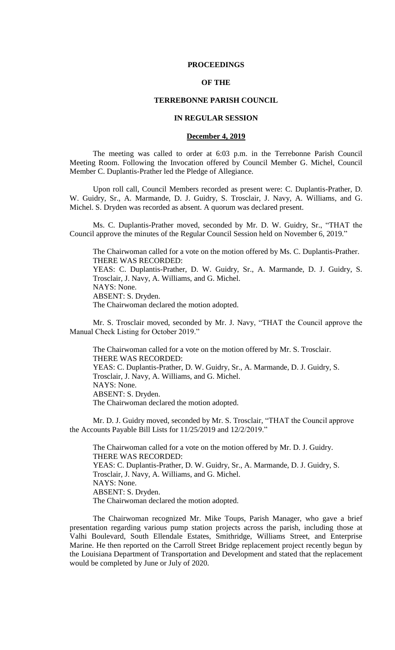#### **PROCEEDINGS**

## **OF THE**

## **TERREBONNE PARISH COUNCIL**

#### **IN REGULAR SESSION**

#### **December 4, 2019**

The meeting was called to order at 6:03 p.m. in the Terrebonne Parish Council Meeting Room. Following the Invocation offered by Council Member G. Michel, Council Member C. Duplantis-Prather led the Pledge of Allegiance.

Upon roll call, Council Members recorded as present were: C. Duplantis-Prather, D. W. Guidry, Sr., A. Marmande, D. J. Guidry, S. Trosclair, J. Navy, A. Williams, and G. Michel. S. Dryden was recorded as absent. A quorum was declared present.

Ms. C. Duplantis-Prather moved, seconded by Mr. D. W. Guidry, Sr., "THAT the Council approve the minutes of the Regular Council Session held on November 6, 2019."

The Chairwoman called for a vote on the motion offered by Ms. C. Duplantis-Prather. THERE WAS RECORDED: YEAS: C. Duplantis-Prather, D. W. Guidry, Sr., A. Marmande, D. J. Guidry, S. Trosclair, J. Navy, A. Williams, and G. Michel. NAYS: None. ABSENT: S. Dryden. The Chairwoman declared the motion adopted.

Mr. S. Trosclair moved, seconded by Mr. J. Navy, "THAT the Council approve the Manual Check Listing for October 2019."

The Chairwoman called for a vote on the motion offered by Mr. S. Trosclair. THERE WAS RECORDED: YEAS: C. Duplantis-Prather, D. W. Guidry, Sr., A. Marmande, D. J. Guidry, S. Trosclair, J. Navy, A. Williams, and G. Michel. NAYS: None. ABSENT: S. Dryden. The Chairwoman declared the motion adopted.

Mr. D. J. Guidry moved, seconded by Mr. S. Trosclair, "THAT the Council approve the Accounts Payable Bill Lists for 11/25/2019 and 12/2/2019."

The Chairwoman called for a vote on the motion offered by Mr. D. J. Guidry. THERE WAS RECORDED: YEAS: C. Duplantis-Prather, D. W. Guidry, Sr., A. Marmande, D. J. Guidry, S. Trosclair, J. Navy, A. Williams, and G. Michel. NAYS: None. ABSENT: S. Dryden. The Chairwoman declared the motion adopted.

The Chairwoman recognized Mr. Mike Toups, Parish Manager, who gave a brief presentation regarding various pump station projects across the parish, including those at Valhi Boulevard, South Ellendale Estates, Smithridge, Williams Street, and Enterprise Marine. He then reported on the Carroll Street Bridge replacement project recently begun by the Louisiana Department of Transportation and Development and stated that the replacement would be completed by June or July of 2020.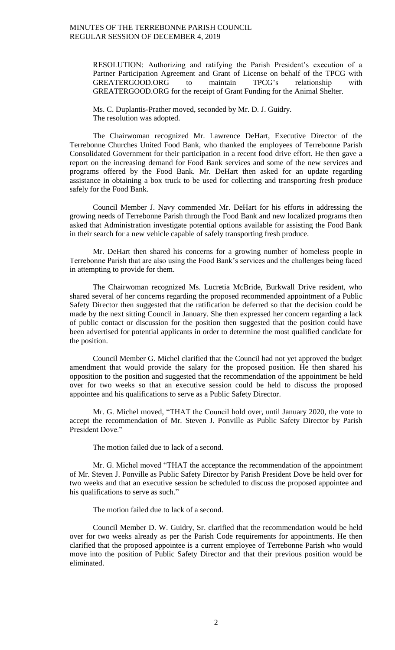RESOLUTION: Authorizing and ratifying the Parish President's execution of a Partner Participation Agreement and Grant of License on behalf of the TPCG with GREATERGOOD.ORG to maintain TPCG's relationship with GREATERGOOD.ORG for the receipt of Grant Funding for the Animal Shelter.

Ms. C. Duplantis-Prather moved, seconded by Mr. D. J. Guidry. The resolution was adopted.

The Chairwoman recognized Mr. Lawrence DeHart, Executive Director of the Terrebonne Churches United Food Bank, who thanked the employees of Terrebonne Parish Consolidated Government for their participation in a recent food drive effort. He then gave a report on the increasing demand for Food Bank services and some of the new services and programs offered by the Food Bank. Mr. DeHart then asked for an update regarding assistance in obtaining a box truck to be used for collecting and transporting fresh produce safely for the Food Bank.

Council Member J. Navy commended Mr. DeHart for his efforts in addressing the growing needs of Terrebonne Parish through the Food Bank and new localized programs then asked that Administration investigate potential options available for assisting the Food Bank in their search for a new vehicle capable of safely transporting fresh produce.

Mr. DeHart then shared his concerns for a growing number of homeless people in Terrebonne Parish that are also using the Food Bank's services and the challenges being faced in attempting to provide for them.

The Chairwoman recognized Ms. Lucretia McBride, Burkwall Drive resident, who shared several of her concerns regarding the proposed recommended appointment of a Public Safety Director then suggested that the ratification be deferred so that the decision could be made by the next sitting Council in January. She then expressed her concern regarding a lack of public contact or discussion for the position then suggested that the position could have been advertised for potential applicants in order to determine the most qualified candidate for the position.

Council Member G. Michel clarified that the Council had not yet approved the budget amendment that would provide the salary for the proposed position. He then shared his opposition to the position and suggested that the recommendation of the appointment be held over for two weeks so that an executive session could be held to discuss the proposed appointee and his qualifications to serve as a Public Safety Director.

Mr. G. Michel moved, "THAT the Council hold over, until January 2020, the vote to accept the recommendation of Mr. Steven J. Ponville as Public Safety Director by Parish President Dove."

The motion failed due to lack of a second.

Mr. G. Michel moved "THAT the acceptance the recommendation of the appointment of Mr. Steven J. Ponville as Public Safety Director by Parish President Dove be held over for two weeks and that an executive session be scheduled to discuss the proposed appointee and his qualifications to serve as such."

The motion failed due to lack of a second.

Council Member D. W. Guidry, Sr. clarified that the recommendation would be held over for two weeks already as per the Parish Code requirements for appointments. He then clarified that the proposed appointee is a current employee of Terrebonne Parish who would move into the position of Public Safety Director and that their previous position would be eliminated.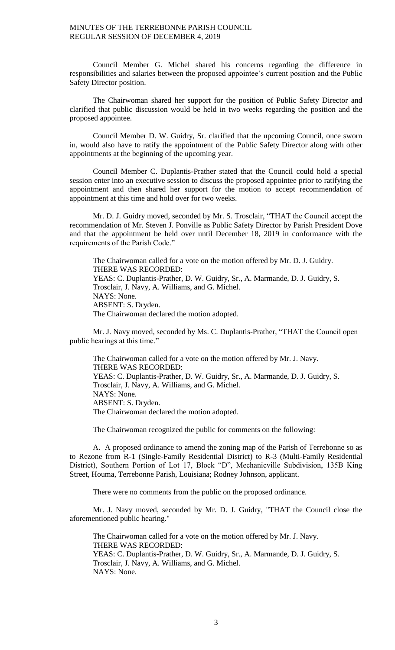Council Member G. Michel shared his concerns regarding the difference in responsibilities and salaries between the proposed appointee's current position and the Public Safety Director position.

The Chairwoman shared her support for the position of Public Safety Director and clarified that public discussion would be held in two weeks regarding the position and the proposed appointee.

Council Member D. W. Guidry, Sr. clarified that the upcoming Council, once sworn in, would also have to ratify the appointment of the Public Safety Director along with other appointments at the beginning of the upcoming year.

Council Member C. Duplantis-Prather stated that the Council could hold a special session enter into an executive session to discuss the proposed appointee prior to ratifying the appointment and then shared her support for the motion to accept recommendation of appointment at this time and hold over for two weeks.

Mr. D. J. Guidry moved, seconded by Mr. S. Trosclair, "THAT the Council accept the recommendation of Mr. Steven J. Ponville as Public Safety Director by Parish President Dove and that the appointment be held over until December 18, 2019 in conformance with the requirements of the Parish Code."

The Chairwoman called for a vote on the motion offered by Mr. D. J. Guidry. THERE WAS RECORDED: YEAS: C. Duplantis-Prather, D. W. Guidry, Sr., A. Marmande, D. J. Guidry, S. Trosclair, J. Navy, A. Williams, and G. Michel. NAYS: None. ABSENT: S. Dryden. The Chairwoman declared the motion adopted.

Mr. J. Navy moved, seconded by Ms. C. Duplantis-Prather, "THAT the Council open public hearings at this time."

The Chairwoman called for a vote on the motion offered by Mr. J. Navy. THERE WAS RECORDED: YEAS: C. Duplantis-Prather, D. W. Guidry, Sr., A. Marmande, D. J. Guidry, S. Trosclair, J. Navy, A. Williams, and G. Michel. NAYS: None. ABSENT: S. Dryden. The Chairwoman declared the motion adopted.

The Chairwoman recognized the public for comments on the following:

A. A proposed ordinance to amend the zoning map of the Parish of Terrebonne so as to Rezone from R-1 (Single-Family Residential District) to R-3 (Multi-Family Residential District), Southern Portion of Lot 17, Block "D", Mechanicville Subdivision, 135B King Street, Houma, Terrebonne Parish, Louisiana; Rodney Johnson, applicant.

There were no comments from the public on the proposed ordinance.

Mr. J. Navy moved, seconded by Mr. D. J. Guidry, "THAT the Council close the aforementioned public hearing."

The Chairwoman called for a vote on the motion offered by Mr. J. Navy. THERE WAS RECORDED: YEAS: C. Duplantis-Prather, D. W. Guidry, Sr., A. Marmande, D. J. Guidry, S. Trosclair, J. Navy, A. Williams, and G. Michel. NAYS: None.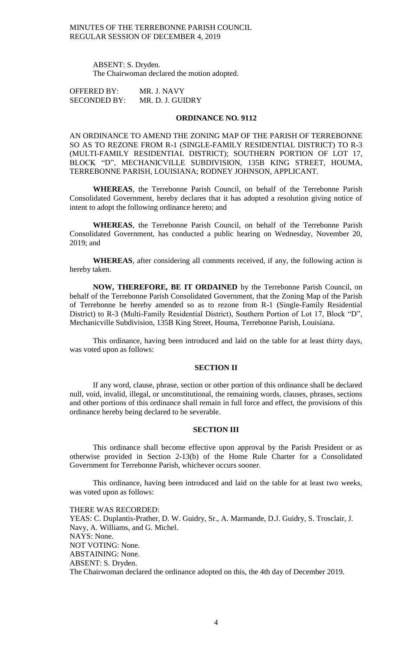> ABSENT: S. Dryden. The Chairwoman declared the motion adopted.

OFFERED BY: MR. J. NAVY SECONDED BY: MR. D. J. GUIDRY

## **ORDINANCE NO. 9112**

AN ORDINANCE TO AMEND THE ZONING MAP OF THE PARISH OF TERREBONNE SO AS TO REZONE FROM R-1 (SINGLE-FAMILY RESIDENTIAL DISTRICT) TO R-3 (MULTI-FAMILY RESIDENTIAL DISTRICT); SOUTHERN PORTION OF LOT 17, BLOCK "D", MECHANICVILLE SUBDIVISION, 135B KING STREET, HOUMA, TERREBONNE PARISH, LOUISIANA; RODNEY JOHNSON, APPLICANT.

**WHEREAS**, the Terrebonne Parish Council, on behalf of the Terrebonne Parish Consolidated Government, hereby declares that it has adopted a resolution giving notice of intent to adopt the following ordinance hereto; and

**WHEREAS**, the Terrebonne Parish Council, on behalf of the Terrebonne Parish Consolidated Government, has conducted a public hearing on Wednesday, November 20, 2019; and

**WHEREAS**, after considering all comments received, if any, the following action is hereby taken.

**NOW, THEREFORE, BE IT ORDAINED** by the Terrebonne Parish Council, on behalf of the Terrebonne Parish Consolidated Government, that the Zoning Map of the Parish of Terrebonne be hereby amended so as to rezone from R-1 (Single-Family Residential District) to R-3 (Multi-Family Residential District), Southern Portion of Lot 17, Block "D", Mechanicville Subdivision, 135B King Street, Houma, Terrebonne Parish, Louisiana.

This ordinance, having been introduced and laid on the table for at least thirty days, was voted upon as follows:

## **SECTION II**

If any word, clause, phrase, section or other portion of this ordinance shall be declared null, void, invalid, illegal, or unconstitutional, the remaining words, clauses, phrases, sections and other portions of this ordinance shall remain in full force and effect, the provisions of this ordinance hereby being declared to be severable.

#### **SECTION III**

This ordinance shall become effective upon approval by the Parish President or as otherwise provided in Section 2-13(b) of the Home Rule Charter for a Consolidated Government for Terrebonne Parish, whichever occurs sooner.

This ordinance, having been introduced and laid on the table for at least two weeks, was voted upon as follows:

THERE WAS RECORDED: YEAS: C. Duplantis-Prather, D. W. Guidry, Sr., A. Marmande, D.J. Guidry, S. Trosclair, J. Navy, A. Williams, and G. Michel. NAYS: None. NOT VOTING: None. ABSTAINING: None. ABSENT: S. Dryden. The Chairwoman declared the ordinance adopted on this, the 4th day of December 2019.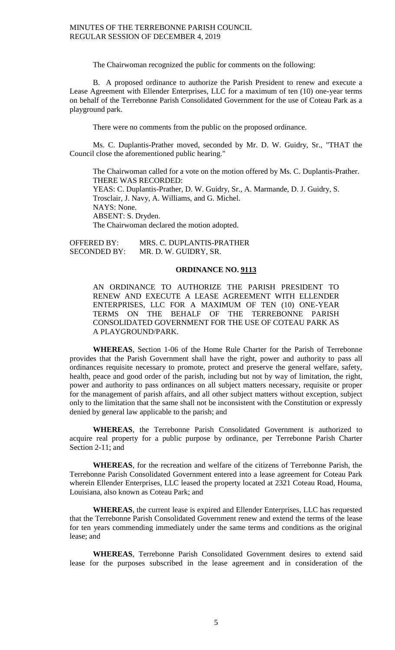The Chairwoman recognized the public for comments on the following:

B. A proposed ordinance to authorize the Parish President to renew and execute a Lease Agreement with Ellender Enterprises, LLC for a maximum of ten (10) one-year terms on behalf of the Terrebonne Parish Consolidated Government for the use of Coteau Park as a playground park.

There were no comments from the public on the proposed ordinance.

Ms. C. Duplantis-Prather moved, seconded by Mr. D. W. Guidry, Sr., "THAT the Council close the aforementioned public hearing."

The Chairwoman called for a vote on the motion offered by Ms. C. Duplantis-Prather. THERE WAS RECORDED: YEAS: C. Duplantis-Prather, D. W. Guidry, Sr., A. Marmande, D. J. Guidry, S. Trosclair, J. Navy, A. Williams, and G. Michel. NAYS: None. ABSENT: S. Dryden. The Chairwoman declared the motion adopted.

OFFERED BY: MRS. C. DUPLANTIS-PRATHER SECONDED BY: MR. D. W. GUIDRY, SR.

#### **ORDINANCE NO. 9113**

AN ORDINANCE TO AUTHORIZE THE PARISH PRESIDENT TO RENEW AND EXECUTE A LEASE AGREEMENT WITH ELLENDER ENTERPRISES, LLC FOR A MAXIMUM OF TEN (10) ONE-YEAR TERMS ON THE BEHALF OF THE TERREBONNE PARISH CONSOLIDATED GOVERNMENT FOR THE USE OF COTEAU PARK AS A PLAYGROUND/PARK.

**WHEREAS**, Section 1-06 of the Home Rule Charter for the Parish of Terrebonne provides that the Parish Government shall have the right, power and authority to pass all ordinances requisite necessary to promote, protect and preserve the general welfare, safety, health, peace and good order of the parish, including but not by way of limitation, the right, power and authority to pass ordinances on all subject matters necessary, requisite or proper for the management of parish affairs, and all other subject matters without exception, subject only to the limitation that the same shall not be inconsistent with the Constitution or expressly denied by general law applicable to the parish; and

**WHEREAS**, the Terrebonne Parish Consolidated Government is authorized to acquire real property for a public purpose by ordinance, per Terrebonne Parish Charter Section 2-11; and

**WHEREAS**, for the recreation and welfare of the citizens of Terrebonne Parish, the Terrebonne Parish Consolidated Government entered into a lease agreement for Coteau Park wherein Ellender Enterprises, LLC leased the property located at 2321 Coteau Road, Houma, Louisiana, also known as Coteau Park; and

**WHEREAS**, the current lease is expired and Ellender Enterprises, LLC has requested that the Terrebonne Parish Consolidated Government renew and extend the terms of the lease for ten years commending immediately under the same terms and conditions as the original lease; and

**WHEREAS**, Terrebonne Parish Consolidated Government desires to extend said lease for the purposes subscribed in the lease agreement and in consideration of the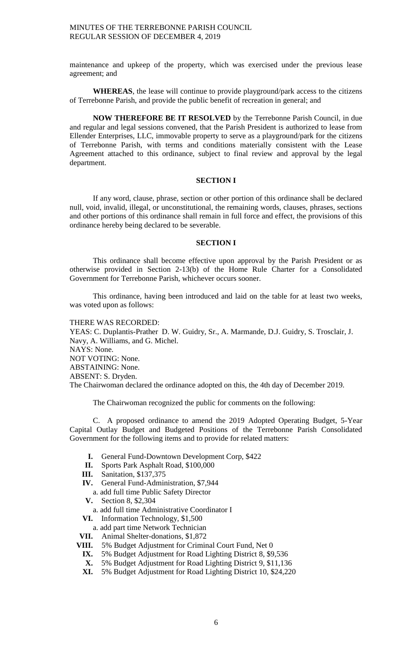maintenance and upkeep of the property, which was exercised under the previous lease agreement; and

**WHEREAS**, the lease will continue to provide playground/park access to the citizens of Terrebonne Parish, and provide the public benefit of recreation in general; and

**NOW THEREFORE BE IT RESOLVED** by the Terrebonne Parish Council, in due and regular and legal sessions convened, that the Parish President is authorized to lease from Ellender Enterprises, LLC, immovable property to serve as a playground/park for the citizens of Terrebonne Parish, with terms and conditions materially consistent with the Lease Agreement attached to this ordinance, subject to final review and approval by the legal department.

#### **SECTION I**

If any word, clause, phrase, section or other portion of this ordinance shall be declared null, void, invalid, illegal, or unconstitutional, the remaining words, clauses, phrases, sections and other portions of this ordinance shall remain in full force and effect, the provisions of this ordinance hereby being declared to be severable.

#### **SECTION I**

This ordinance shall become effective upon approval by the Parish President or as otherwise provided in Section 2-13(b) of the Home Rule Charter for a Consolidated Government for Terrebonne Parish, whichever occurs sooner.

This ordinance, having been introduced and laid on the table for at least two weeks, was voted upon as follows:

#### THERE WAS RECORDED:

YEAS: C. Duplantis-Prather D. W. Guidry, Sr., A. Marmande, D.J. Guidry, S. Trosclair, J. Navy, A. Williams, and G. Michel. NAYS: None. NOT VOTING: None. ABSTAINING: None. ABSENT: S. Dryden. The Chairwoman declared the ordinance adopted on this, the 4th day of December 2019.

The Chairwoman recognized the public for comments on the following:

C. A proposed ordinance to amend the 2019 Adopted Operating Budget, 5-Year Capital Outlay Budget and Budgeted Positions of the Terrebonne Parish Consolidated Government for the following items and to provide for related matters:

- **I.** General Fund-Downtown Development Corp, \$422
- **II.** Sports Park Asphalt Road, \$100,000
- **III.** Sanitation, \$137,375
- **IV.** General Fund-Administration, \$7,944
	- a. add full time Public Safety Director
- **V.** Section 8, \$2,304 a. add full time Administrative Coordinator I
- **VI.** Information Technology, \$1,500
- a. add part time Network Technician
- **VII.** Animal Shelter-donations, \$1,872
- **VIII.** 5% Budget Adjustment for Criminal Court Fund, Net 0
- **IX.** 5% Budget Adjustment for Road Lighting District 8, \$9,536
- **X.** 5% Budget Adjustment for Road Lighting District 9, \$11,136
- **XI.** 5% Budget Adjustment for Road Lighting District 10, \$24,220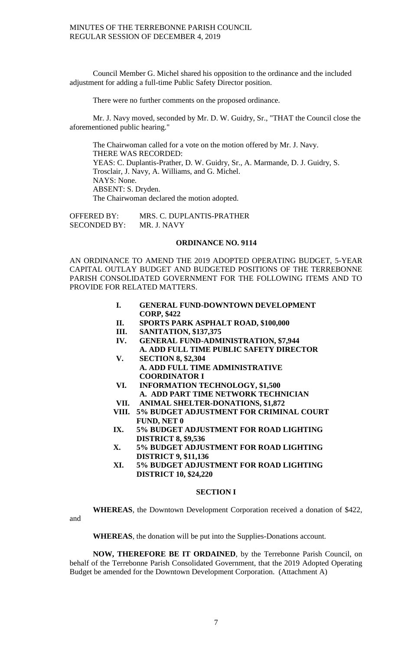Council Member G. Michel shared his opposition to the ordinance and the included adjustment for adding a full-time Public Safety Director position.

There were no further comments on the proposed ordinance.

Mr. J. Navy moved, seconded by Mr. D. W. Guidry, Sr., "THAT the Council close the aforementioned public hearing."

The Chairwoman called for a vote on the motion offered by Mr. J. Navy. THERE WAS RECORDED: YEAS: C. Duplantis-Prather, D. W. Guidry, Sr., A. Marmande, D. J. Guidry, S. Trosclair, J. Navy, A. Williams, and G. Michel. NAYS: None. ABSENT: S. Dryden. The Chairwoman declared the motion adopted.

OFFERED BY: MRS. C. DUPLANTIS-PRATHER<br>SECONDED BY: MR. J. NAVY SECONDED BY:

## **ORDINANCE NO. 9114**

AN ORDINANCE TO AMEND THE 2019 ADOPTED OPERATING BUDGET, 5-YEAR CAPITAL OUTLAY BUDGET AND BUDGETED POSITIONS OF THE TERREBONNE PARISH CONSOLIDATED GOVERNMENT FOR THE FOLLOWING ITEMS AND TO PROVIDE FOR RELATED MATTERS.

- **I. GENERAL FUND-DOWNTOWN DEVELOPMENT CORP, \$422**
- **II. SPORTS PARK ASPHALT ROAD, \$100,000**
- **III. SANITATION, \$137,375**
- **IV. GENERAL FUND-ADMINISTRATION, \$7,944 A. ADD FULL TIME PUBLIC SAFETY DIRECTOR**
- **V. SECTION 8, \$2,304 A. ADD FULL TIME ADMINISTRATIVE COORDINATOR I**
- **VI. INFORMATION TECHNOLOGY, \$1,500 A. ADD PART TIME NETWORK TECHNICIAN**
- **VII. ANIMAL SHELTER-DONATIONS, \$1,872**
- **VIII. 5% BUDGET ADJUSTMENT FOR CRIMINAL COURT FUND, NET 0**
- **IX. 5% BUDGET ADJUSTMENT FOR ROAD LIGHTING DISTRICT 8, \$9,536**
- **X. 5% BUDGET ADJUSTMENT FOR ROAD LIGHTING DISTRICT 9, \$11,136**
- **XI. 5% BUDGET ADJUSTMENT FOR ROAD LIGHTING DISTRICT 10, \$24,220**

#### **SECTION I**

**WHEREAS**, the Downtown Development Corporation received a donation of \$422,

and

**WHEREAS**, the donation will be put into the Supplies-Donations account.

**NOW, THEREFORE BE IT ORDAINED**, by the Terrebonne Parish Council, on behalf of the Terrebonne Parish Consolidated Government, that the 2019 Adopted Operating Budget be amended for the Downtown Development Corporation. (Attachment A)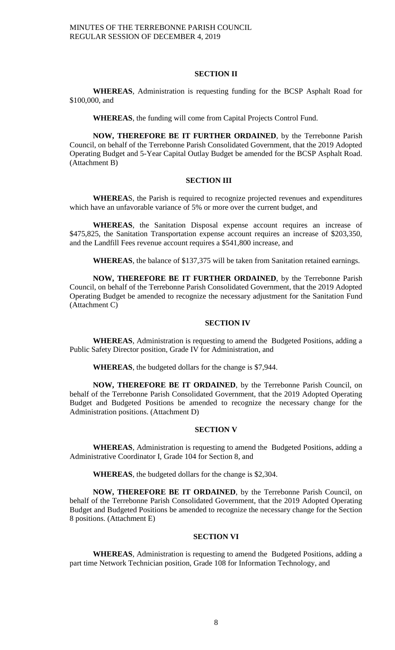#### **SECTION II**

**WHEREAS**, Administration is requesting funding for the BCSP Asphalt Road for \$100,000, and

**WHEREAS**, the funding will come from Capital Projects Control Fund.

**NOW, THEREFORE BE IT FURTHER ORDAINED**, by the Terrebonne Parish Council, on behalf of the Terrebonne Parish Consolidated Government, that the 2019 Adopted Operating Budget and 5-Year Capital Outlay Budget be amended for the BCSP Asphalt Road. (Attachment B)

#### **SECTION III**

**WHEREA**S, the Parish is required to recognize projected revenues and expenditures which have an unfavorable variance of 5% or more over the current budget, and

**WHEREAS**, the Sanitation Disposal expense account requires an increase of \$475,825, the Sanitation Transportation expense account requires an increase of \$203,350, and the Landfill Fees revenue account requires a \$541,800 increase, and

**WHEREAS**, the balance of \$137,375 will be taken from Sanitation retained earnings.

**NOW, THEREFORE BE IT FURTHER ORDAINED**, by the Terrebonne Parish Council, on behalf of the Terrebonne Parish Consolidated Government, that the 2019 Adopted Operating Budget be amended to recognize the necessary adjustment for the Sanitation Fund (Attachment C)

## **SECTION IV**

**WHEREAS**, Administration is requesting to amend the Budgeted Positions, adding a Public Safety Director position, Grade IV for Administration, and

**WHEREAS**, the budgeted dollars for the change is \$7,944.

**NOW, THEREFORE BE IT ORDAINED**, by the Terrebonne Parish Council, on behalf of the Terrebonne Parish Consolidated Government, that the 2019 Adopted Operating Budget and Budgeted Positions be amended to recognize the necessary change for the Administration positions. (Attachment D)

#### **SECTION V**

**WHEREAS**, Administration is requesting to amend the Budgeted Positions, adding a Administrative Coordinator I, Grade 104 for Section 8, and

**WHEREAS**, the budgeted dollars for the change is \$2,304.

**NOW, THEREFORE BE IT ORDAINED**, by the Terrebonne Parish Council, on behalf of the Terrebonne Parish Consolidated Government, that the 2019 Adopted Operating Budget and Budgeted Positions be amended to recognize the necessary change for the Section 8 positions. (Attachment E)

#### **SECTION VI**

**WHEREAS**, Administration is requesting to amend the Budgeted Positions, adding a part time Network Technician position, Grade 108 for Information Technology, and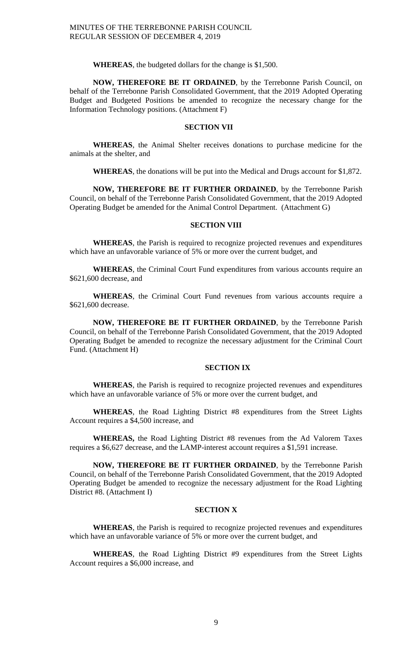**WHEREAS**, the budgeted dollars for the change is \$1,500.

**NOW, THEREFORE BE IT ORDAINED**, by the Terrebonne Parish Council, on behalf of the Terrebonne Parish Consolidated Government, that the 2019 Adopted Operating Budget and Budgeted Positions be amended to recognize the necessary change for the Information Technology positions. (Attachment F)

#### **SECTION VII**

**WHEREAS**, the Animal Shelter receives donations to purchase medicine for the animals at the shelter, and

**WHEREAS**, the donations will be put into the Medical and Drugs account for \$1,872.

**NOW, THEREFORE BE IT FURTHER ORDAINED**, by the Terrebonne Parish Council, on behalf of the Terrebonne Parish Consolidated Government, that the 2019 Adopted Operating Budget be amended for the Animal Control Department. (Attachment G)

#### **SECTION VIII**

**WHEREAS**, the Parish is required to recognize projected revenues and expenditures which have an unfavorable variance of 5% or more over the current budget, and

**WHEREAS**, the Criminal Court Fund expenditures from various accounts require an \$621,600 decrease, and

**WHEREAS**, the Criminal Court Fund revenues from various accounts require a \$621,600 decrease.

**NOW, THEREFORE BE IT FURTHER ORDAINED**, by the Terrebonne Parish Council, on behalf of the Terrebonne Parish Consolidated Government, that the 2019 Adopted Operating Budget be amended to recognize the necessary adjustment for the Criminal Court Fund. (Attachment H)

#### **SECTION IX**

**WHEREAS**, the Parish is required to recognize projected revenues and expenditures which have an unfavorable variance of 5% or more over the current budget, and

**WHEREAS**, the Road Lighting District #8 expenditures from the Street Lights Account requires a \$4,500 increase, and

**WHEREAS,** the Road Lighting District #8 revenues from the Ad Valorem Taxes requires a \$6,627 decrease, and the LAMP-interest account requires a \$1,591 increase.

**NOW, THEREFORE BE IT FURTHER ORDAINED**, by the Terrebonne Parish Council, on behalf of the Terrebonne Parish Consolidated Government, that the 2019 Adopted Operating Budget be amended to recognize the necessary adjustment for the Road Lighting District #8. (Attachment I)

#### **SECTION X**

**WHEREAS**, the Parish is required to recognize projected revenues and expenditures which have an unfavorable variance of 5% or more over the current budget, and

**WHEREAS**, the Road Lighting District #9 expenditures from the Street Lights Account requires a \$6,000 increase, and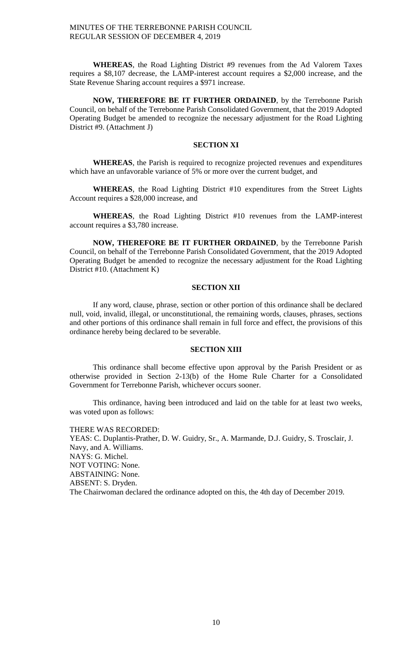**WHEREAS**, the Road Lighting District #9 revenues from the Ad Valorem Taxes requires a \$8,107 decrease, the LAMP-interest account requires a \$2,000 increase, and the State Revenue Sharing account requires a \$971 increase.

**NOW, THEREFORE BE IT FURTHER ORDAINED**, by the Terrebonne Parish Council, on behalf of the Terrebonne Parish Consolidated Government, that the 2019 Adopted Operating Budget be amended to recognize the necessary adjustment for the Road Lighting District #9. (Attachment J)

## **SECTION XI**

**WHEREAS**, the Parish is required to recognize projected revenues and expenditures which have an unfavorable variance of 5% or more over the current budget, and

**WHEREAS**, the Road Lighting District #10 expenditures from the Street Lights Account requires a \$28,000 increase, and

**WHEREAS**, the Road Lighting District #10 revenues from the LAMP-interest account requires a \$3,780 increase.

**NOW, THEREFORE BE IT FURTHER ORDAINED**, by the Terrebonne Parish Council, on behalf of the Terrebonne Parish Consolidated Government, that the 2019 Adopted Operating Budget be amended to recognize the necessary adjustment for the Road Lighting District #10. (Attachment K)

#### **SECTION XII**

If any word, clause, phrase, section or other portion of this ordinance shall be declared null, void, invalid, illegal, or unconstitutional, the remaining words, clauses, phrases, sections and other portions of this ordinance shall remain in full force and effect, the provisions of this ordinance hereby being declared to be severable.

#### **SECTION XIII**

This ordinance shall become effective upon approval by the Parish President or as otherwise provided in Section 2-13(b) of the Home Rule Charter for a Consolidated Government for Terrebonne Parish, whichever occurs sooner.

This ordinance, having been introduced and laid on the table for at least two weeks, was voted upon as follows:

THERE WAS RECORDED: YEAS: C. Duplantis-Prather, D. W. Guidry, Sr., A. Marmande, D.J. Guidry, S. Trosclair, J. Navy, and A. Williams. NAYS: G. Michel. NOT VOTING: None. ABSTAINING: None. ABSENT: S. Dryden. The Chairwoman declared the ordinance adopted on this, the 4th day of December 2019.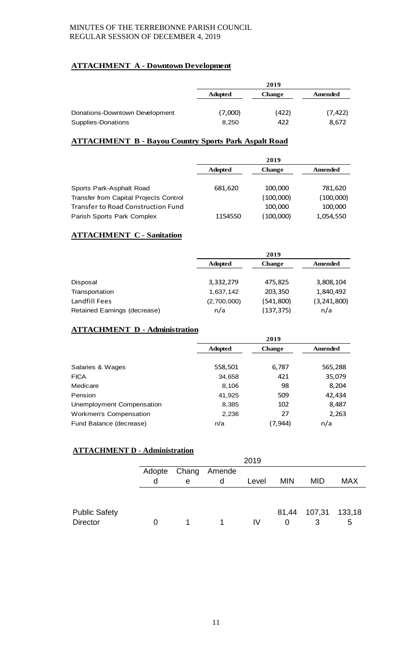# **ATTACHMENT A - Downtown Development**

|                                | 2019           |               |          |  |
|--------------------------------|----------------|---------------|----------|--|
|                                | <b>Adopted</b> | <b>Change</b> | Amended  |  |
| Donations-Downtown Development | (7,000)        | (422)         | (7, 422) |  |
| Supplies-Donations             | 8.250          | 422           | 8,672    |  |

# **ATTACHMENT B - Bayou Country Sports Park Aspalt Road**

|                                           |                | 2019          |           |
|-------------------------------------------|----------------|---------------|-----------|
|                                           | <b>Adopted</b> | <b>Change</b> | Amended   |
|                                           |                |               |           |
| Sports Park-Asphalt Road                  | 681,620        | 100,000       | 781,620   |
| Transfer from Capital Projects Control    |                | (100,000)     | (100,000) |
| <b>Transfer to Road Construction Fund</b> |                | 100,000       | 100,000   |
| Parish Sports Park Complex                | 1154550        | (100,000)     | 1,054,550 |

# **ATTACHMENT C - Sanitation**

|                              |                | 2019          |               |  |  |
|------------------------------|----------------|---------------|---------------|--|--|
|                              | <b>Adopted</b> | <b>Change</b> | Amended       |  |  |
|                              |                |               |               |  |  |
| Disposal                     | 3,332,279      | 475,825       | 3,808,104     |  |  |
| Transportation               | 1,637,142      | 203,350       | 1,840,492     |  |  |
| Landfill Fees                | (2,700,000)    | (541, 800)    | (3, 241, 800) |  |  |
| Retained Earnings (decrease) | n/a            | (137, 375)    | n/a           |  |  |

# **ATTACHMENT D - Administration**

|                               |                | 2019          |         |  |  |  |
|-------------------------------|----------------|---------------|---------|--|--|--|
|                               | <b>Adopted</b> | <b>Change</b> | Amended |  |  |  |
|                               |                |               |         |  |  |  |
| Salaries & Wages              | 558,501        | 6,787         | 565,288 |  |  |  |
| <b>FICA</b>                   | 34,658         | 421           | 35,079  |  |  |  |
| Medicare                      | 8,106          | 98            | 8,204   |  |  |  |
| Pension                       | 41,925         | 509           | 42,434  |  |  |  |
| Unemployment Compensation     | 8,385          | 102           | 8,487   |  |  |  |
| <b>Workmen's Compensation</b> | 2,236          | 27            | 2,263   |  |  |  |
| Fund Balance (decrease)       | n/a            | (7,944)       | n/a     |  |  |  |

# **ATTACHMENT D - Administration**

|                      | 2019   |       |        |       |            |                     |            |
|----------------------|--------|-------|--------|-------|------------|---------------------|------------|
|                      | Adopte | Chang | Amende |       |            |                     |            |
|                      | d      | e     | d      | Level | <b>MIN</b> | <b>MID</b>          | <b>MAX</b> |
|                      |        |       |        |       |            |                     |            |
|                      |        |       |        |       |            |                     |            |
| <b>Public Safety</b> |        |       |        |       |            | 81,44 107,31 133,18 |            |
| <b>Director</b>      | 0      |       |        | IV    | 0          | 3                   | 5          |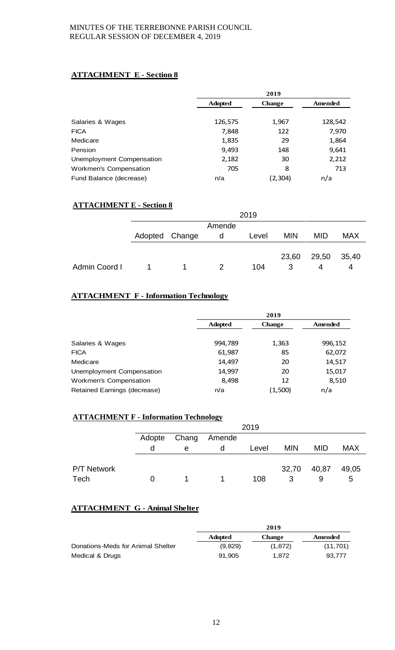# **ATTACHMENT E - Section 8**

|                           |                | 2019          |         |  |  |
|---------------------------|----------------|---------------|---------|--|--|
|                           | <b>Adopted</b> | <b>Change</b> | Amended |  |  |
|                           |                |               |         |  |  |
| Salaries & Wages          | 126,575        | 1,967         | 128,542 |  |  |
| <b>FICA</b>               | 7,848          | 122           | 7,970   |  |  |
| Medicare                  | 1,835          | 29            | 1,864   |  |  |
| Pension                   | 9,493          | 148           | 9,641   |  |  |
| Unemployment Compensation | 2,182          | 30            | 2,212   |  |  |
| Workmen's Compensation    | 705            | 8             | 713     |  |  |
| Fund Balance (decrease)   | n/a            | (2,304)       | n/a     |  |  |

# **ATTACHMENT E - Section 8**

|               |                |    |        | 2019  |            |            |            |
|---------------|----------------|----|--------|-------|------------|------------|------------|
|               |                |    | Amende |       |            |            |            |
|               | Adopted Change |    | d      | Level | <b>MIN</b> | <b>MID</b> | <b>MAX</b> |
|               |                |    |        |       |            |            |            |
|               |                |    |        |       | 23,60      | 29,50      | 35,40      |
| Admin Coord I |                | 1. | 2      | 104   | 3          | 4          | 4          |

# **ATTACHMENT F - Information Technology**

|                              | 2019           |               |         |  |
|------------------------------|----------------|---------------|---------|--|
|                              | <b>Adopted</b> | <b>Change</b> | Amended |  |
| Salaries & Wages             | 994,789        | 1,363         | 996,152 |  |
| <b>FICA</b>                  | 61,987         | 85            | 62,072  |  |
| Medicare                     | 14,497         | 20            | 14,517  |  |
| Unemployment Compensation    | 14,997         | 20            | 15,017  |  |
| Workmen's Compensation       | 8,498          | 12            | 8,510   |  |
| Retained Earnings (decrease) | n/a            | (1,500)       | n/a     |  |

# **ATTACHMENT F - Information Technology**

|             |          | 2019  |        |       |            |            |            |
|-------------|----------|-------|--------|-------|------------|------------|------------|
|             | Adopte   | Chang | Amende |       |            |            |            |
|             | d        | e     | d      | Level | <b>MIN</b> | <b>MID</b> | <b>MAX</b> |
|             |          |       |        |       |            |            |            |
| P/T Network |          |       |        |       | 32,70      | 40,87      | 49,05      |
| Tech        | $\Omega$ |       |        | 108   | 3          | 9          | b          |

# **ATTACHMENT G - Animal Shelter**

|                                   | 2019           |               |          |  |
|-----------------------------------|----------------|---------------|----------|--|
|                                   | <b>Adopted</b> | <b>Change</b> | Amended  |  |
| Donations-Meds for Animal Shelter | (9,829)        | (1,872)       | (11,701) |  |
| Medical & Drugs                   | 91.905         | 1.872         | 93.777   |  |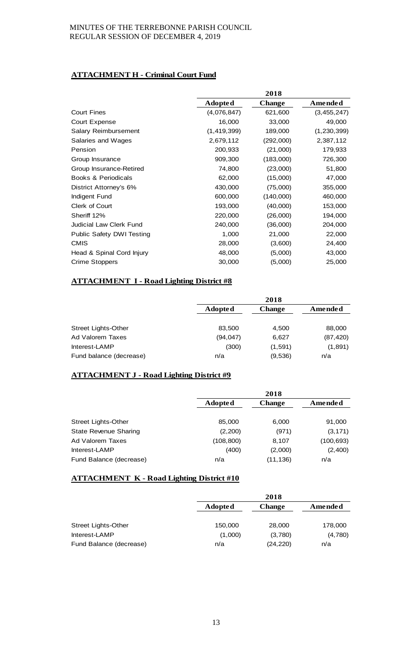# **ATTACHMENT H - Criminal Court Fund**

|                                  |                | 2018          |               |
|----------------------------------|----------------|---------------|---------------|
|                                  | <b>Adopted</b> | <b>Change</b> | Amended       |
| <b>Court Fines</b>               | (4,076,847)    | 621,600       | (3,455,247)   |
| Court Expense                    | 16,000         | 33,000        | 49,000        |
| <b>Salary Reimbursement</b>      | (1, 419, 399)  | 189,000       | (1, 230, 399) |
| Salaries and Wages               | 2,679,112      | (292,000)     | 2,387,112     |
| Pension                          | 200,933        | (21,000)      | 179,933       |
| Group Insurance                  | 909,300        | (183,000)     | 726,300       |
| Group Insurance-Retired          | 74,800         | (23,000)      | 51,800        |
| <b>Books &amp; Periodicals</b>   | 62,000         | (15,000)      | 47,000        |
| District Attorney's 6%           | 430,000        | (75,000)      | 355,000       |
| Indigent Fund                    | 600,000        | (140,000)     | 460,000       |
| Clerk of Court                   | 193,000        | (40,000)      | 153,000       |
| Sheriff 12%                      | 220,000        | (26,000)      | 194,000       |
| <b>Judicial Law Clerk Fund</b>   | 240,000        | (36,000)      | 204,000       |
| <b>Public Safety DWI Testing</b> | 1,000          | 21,000        | 22,000        |
| <b>CMIS</b>                      | 28,000         | (3,600)       | 24,400        |
| Head & Spinal Cord Injury        | 48,000         | (5,000)       | 43,000        |
| <b>Crime Stoppers</b>            | 30,000         | (5,000)       | 25,000        |

# **ATTACHMENT I - Road Lighting District #8**

|                         | 2018           |               |           |  |
|-------------------------|----------------|---------------|-----------|--|
|                         | <b>Adopted</b> | <b>Change</b> | Amended   |  |
|                         |                |               |           |  |
| Street Lights-Other     | 83,500         | 4,500         | 88,000    |  |
| Ad Valorem Taxes        | (94, 047)      | 6.627         | (87, 420) |  |
| Interest-LAMP           | (300)          | (1, 591)      | (1,891)   |  |
| Fund balance (decrease) | n/a            | (9,536)       | n/a       |  |

# **ATTACHMENT J - Road Lighting District #9**

|                              | 2018           |               |            |
|------------------------------|----------------|---------------|------------|
|                              | <b>Adopted</b> | <b>Change</b> | Amended    |
|                              |                |               |            |
| <b>Street Lights-Other</b>   | 85,000         | 6,000         | 91,000     |
| <b>State Revenue Sharing</b> | (2,200)        | (971)         | (3, 171)   |
| Ad Valorem Taxes             | (108, 800)     | 8,107         | (100, 693) |
| Interest-LAMP                | (400)          | (2,000)       | (2,400)    |
| Fund Balance (decrease)      | n/a            | (11, 136)     | n/a        |

## **ATTACHMENT K - Road Lighting District #10**

|                            | 2018           |               |         |
|----------------------------|----------------|---------------|---------|
|                            | <b>Adopted</b> | <b>Change</b> | Amended |
|                            |                |               |         |
| <b>Street Lights-Other</b> | 150,000        | 28,000        | 178,000 |
| Interest-LAMP              | (1,000)        | (3,780)       | (4,780) |
| Fund Balance (decrease)    | n/a            | (24, 220)     | n/a     |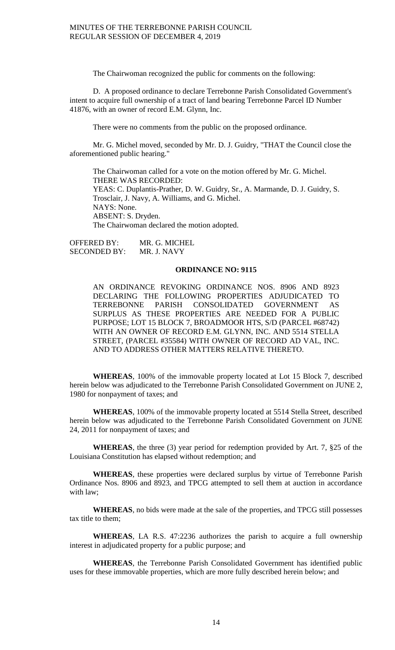The Chairwoman recognized the public for comments on the following:

D. A proposed ordinance to declare Terrebonne Parish Consolidated Government's intent to acquire full ownership of a tract of land bearing Terrebonne Parcel ID Number 41876, with an owner of record E.M. Glynn, Inc.

There were no comments from the public on the proposed ordinance.

Mr. G. Michel moved, seconded by Mr. D. J. Guidry, "THAT the Council close the aforementioned public hearing."

The Chairwoman called for a vote on the motion offered by Mr. G. Michel. THERE WAS RECORDED: YEAS: C. Duplantis-Prather, D. W. Guidry, Sr., A. Marmande, D. J. Guidry, S. Trosclair, J. Navy, A. Williams, and G. Michel. NAYS: None. ABSENT: S. Dryden. The Chairwoman declared the motion adopted.

OFFERED BY: MR. G. MICHEL SECONDED BY: MR. J. NAVY

## **ORDINANCE NO: 9115**

AN ORDINANCE REVOKING ORDINANCE NOS. 8906 AND 8923 DECLARING THE FOLLOWING PROPERTIES ADJUDICATED TO TERREBONNE PARISH CONSOLIDATED GOVERNMENT AS SURPLUS AS THESE PROPERTIES ARE NEEDED FOR A PUBLIC PURPOSE; LOT 15 BLOCK 7, BROADMOOR HTS, S/D (PARCEL #68742) WITH AN OWNER OF RECORD E.M. GLYNN, INC. AND 5514 STELLA STREET, (PARCEL #35584) WITH OWNER OF RECORD AD VAL, INC. AND TO ADDRESS OTHER MATTERS RELATIVE THERETO.

**WHEREAS**, 100% of the immovable property located at Lot 15 Block 7, described herein below was adjudicated to the Terrebonne Parish Consolidated Government on JUNE 2, 1980 for nonpayment of taxes; and

**WHEREAS**, 100% of the immovable property located at 5514 Stella Street, described herein below was adjudicated to the Terrebonne Parish Consolidated Government on JUNE 24, 2011 for nonpayment of taxes; and

**WHEREAS**, the three (3) year period for redemption provided by Art. 7, §25 of the Louisiana Constitution has elapsed without redemption; and

**WHEREAS**, these properties were declared surplus by virtue of Terrebonne Parish Ordinance Nos. 8906 and 8923, and TPCG attempted to sell them at auction in accordance with law;

**WHEREAS**, no bids were made at the sale of the properties, and TPCG still possesses tax title to them;

**WHEREAS**, LA R.S. 47:2236 authorizes the parish to acquire a full ownership interest in adjudicated property for a public purpose; and

**WHEREAS**, the Terrebonne Parish Consolidated Government has identified public uses for these immovable properties, which are more fully described herein below; and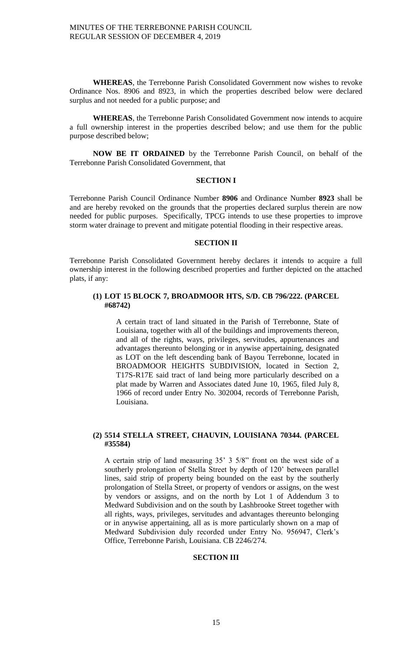**WHEREAS**, the Terrebonne Parish Consolidated Government now wishes to revoke Ordinance Nos. 8906 and 8923, in which the properties described below were declared surplus and not needed for a public purpose; and

**WHEREAS**, the Terrebonne Parish Consolidated Government now intends to acquire a full ownership interest in the properties described below; and use them for the public purpose described below;

**NOW BE IT ORDAINED** by the Terrebonne Parish Council, on behalf of the Terrebonne Parish Consolidated Government, that

## **SECTION I**

Terrebonne Parish Council Ordinance Number **8906** and Ordinance Number **8923** shall be and are hereby revoked on the grounds that the properties declared surplus therein are now needed for public purposes. Specifically, TPCG intends to use these properties to improve storm water drainage to prevent and mitigate potential flooding in their respective areas.

#### **SECTION II**

Terrebonne Parish Consolidated Government hereby declares it intends to acquire a full ownership interest in the following described properties and further depicted on the attached plats, if any:

## **(1) LOT 15 BLOCK 7, BROADMOOR HTS, S/D. CB 796/222. (PARCEL #68742)**

A certain tract of land situated in the Parish of Terrebonne, State of Louisiana, together with all of the buildings and improvements thereon, and all of the rights, ways, privileges, servitudes, appurtenances and advantages thereunto belonging or in anywise appertaining, designated as LOT on the left descending bank of Bayou Terrebonne, located in BROADMOOR HEIGHTS SUBDIVISION, located in Section 2, T17S-R17E said tract of land being more particularly described on a plat made by Warren and Associates dated June 10, 1965, filed July 8, 1966 of record under Entry No. 302004, records of Terrebonne Parish, Louisiana.

## **(2) 5514 STELLA STREET, CHAUVIN, LOUISIANA 70344. (PARCEL #35584)**

A certain strip of land measuring 35' 3 5/8" front on the west side of a southerly prolongation of Stella Street by depth of 120' between parallel lines, said strip of property being bounded on the east by the southerly prolongation of Stella Street, or property of vendors or assigns, on the west by vendors or assigns, and on the north by Lot 1 of Addendum 3 to Medward Subdivision and on the south by Lashbrooke Street together with all rights, ways, privileges, servitudes and advantages thereunto belonging or in anywise appertaining, all as is more particularly shown on a map of Medward Subdivision duly recorded under Entry No. 956947, Clerk's Office, Terrebonne Parish, Louisiana. CB 2246/274.

## **SECTION III**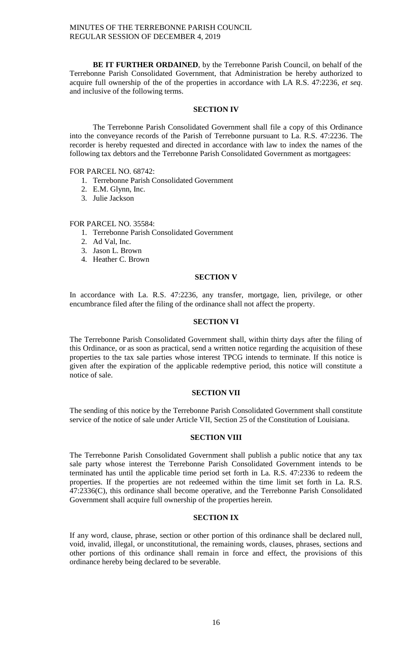**BE IT FURTHER ORDAINED**, by the Terrebonne Parish Council, on behalf of the Terrebonne Parish Consolidated Government, that Administration be hereby authorized to acquire full ownership of the of the properties in accordance with LA R.S. 47:2236, *et seq*. and inclusive of the following terms.

## **SECTION IV**

The Terrebonne Parish Consolidated Government shall file a copy of this Ordinance into the conveyance records of the Parish of Terrebonne pursuant to La. R.S. 47:2236. The recorder is hereby requested and directed in accordance with law to index the names of the following tax debtors and the Terrebonne Parish Consolidated Government as mortgagees:

## FOR PARCEL NO. 68742:

- 1. Terrebonne Parish Consolidated Government
- 2. E.M. Glynn, Inc.
- 3. Julie Jackson

## FOR PARCEL NO. 35584:

- 1. Terrebonne Parish Consolidated Government
- 2. Ad Val, Inc.
- 3. Jason L. Brown
- 4. Heather C. Brown

#### **SECTION V**

In accordance with La. R.S. 47:2236, any transfer, mortgage, lien, privilege, or other encumbrance filed after the filing of the ordinance shall not affect the property.

## **SECTION VI**

The Terrebonne Parish Consolidated Government shall, within thirty days after the filing of this Ordinance, or as soon as practical, send a written notice regarding the acquisition of these properties to the tax sale parties whose interest TPCG intends to terminate. If this notice is given after the expiration of the applicable redemptive period, this notice will constitute a notice of sale.

#### **SECTION VII**

The sending of this notice by the Terrebonne Parish Consolidated Government shall constitute service of the notice of sale under Article VII, Section 25 of the Constitution of Louisiana.

#### **SECTION VIII**

The Terrebonne Parish Consolidated Government shall publish a public notice that any tax sale party whose interest the Terrebonne Parish Consolidated Government intends to be terminated has until the applicable time period set forth in La. R.S. 47:2336 to redeem the properties. If the properties are not redeemed within the time limit set forth in La. R.S. 47:2336(C), this ordinance shall become operative, and the Terrebonne Parish Consolidated Government shall acquire full ownership of the properties herein.

#### **SECTION IX**

If any word, clause, phrase, section or other portion of this ordinance shall be declared null, void, invalid, illegal, or unconstitutional, the remaining words, clauses, phrases, sections and other portions of this ordinance shall remain in force and effect, the provisions of this ordinance hereby being declared to be severable.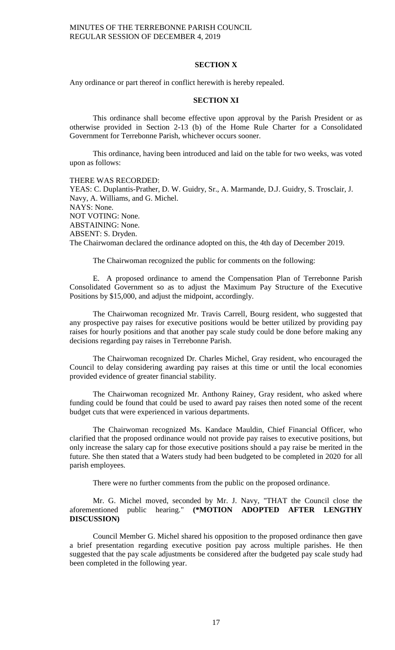#### **SECTION X**

Any ordinance or part thereof in conflict herewith is hereby repealed.

## **SECTION XI**

This ordinance shall become effective upon approval by the Parish President or as otherwise provided in Section 2-13 (b) of the Home Rule Charter for a Consolidated Government for Terrebonne Parish, whichever occurs sooner.

This ordinance, having been introduced and laid on the table for two weeks, was voted upon as follows:

THERE WAS RECORDED: YEAS: C. Duplantis-Prather, D. W. Guidry, Sr., A. Marmande, D.J. Guidry, S. Trosclair, J. Navy, A. Williams, and G. Michel. NAYS: None. NOT VOTING: None. ABSTAINING: None. ABSENT: S. Dryden. The Chairwoman declared the ordinance adopted on this, the 4th day of December 2019.

The Chairwoman recognized the public for comments on the following:

E. A proposed ordinance to amend the Compensation Plan of Terrebonne Parish Consolidated Government so as to adjust the Maximum Pay Structure of the Executive Positions by \$15,000, and adjust the midpoint, accordingly.

The Chairwoman recognized Mr. Travis Carrell, Bourg resident, who suggested that any prospective pay raises for executive positions would be better utilized by providing pay raises for hourly positions and that another pay scale study could be done before making any decisions regarding pay raises in Terrebonne Parish.

The Chairwoman recognized Dr. Charles Michel, Gray resident, who encouraged the Council to delay considering awarding pay raises at this time or until the local economies provided evidence of greater financial stability.

The Chairwoman recognized Mr. Anthony Rainey, Gray resident, who asked where funding could be found that could be used to award pay raises then noted some of the recent budget cuts that were experienced in various departments.

The Chairwoman recognized Ms. Kandace Mauldin, Chief Financial Officer, who clarified that the proposed ordinance would not provide pay raises to executive positions, but only increase the salary cap for those executive positions should a pay raise be merited in the future. She then stated that a Waters study had been budgeted to be completed in 2020 for all parish employees.

There were no further comments from the public on the proposed ordinance.

Mr. G. Michel moved, seconded by Mr. J. Navy, "THAT the Council close the aforementioned public hearing." **(\*MOTION ADOPTED AFTER LENGTHY DISCUSSION)**

Council Member G. Michel shared his opposition to the proposed ordinance then gave a brief presentation regarding executive position pay across multiple parishes. He then suggested that the pay scale adjustments be considered after the budgeted pay scale study had been completed in the following year.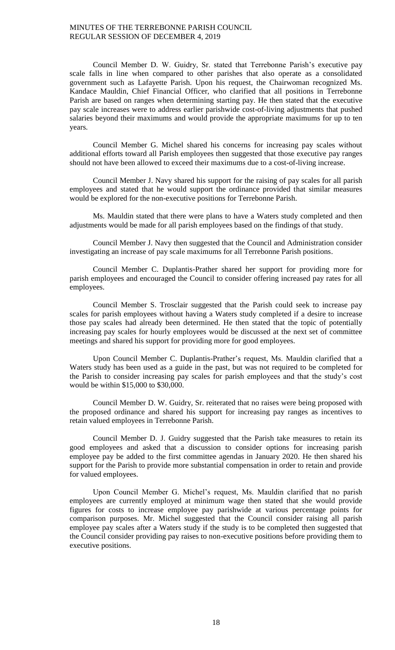Council Member D. W. Guidry, Sr. stated that Terrebonne Parish's executive pay scale falls in line when compared to other parishes that also operate as a consolidated government such as Lafayette Parish. Upon his request, the Chairwoman recognized Ms. Kandace Mauldin, Chief Financial Officer, who clarified that all positions in Terrebonne Parish are based on ranges when determining starting pay. He then stated that the executive pay scale increases were to address earlier parishwide cost-of-living adjustments that pushed salaries beyond their maximums and would provide the appropriate maximums for up to ten years.

Council Member G. Michel shared his concerns for increasing pay scales without additional efforts toward all Parish employees then suggested that those executive pay ranges should not have been allowed to exceed their maximums due to a cost-of-living increase.

Council Member J. Navy shared his support for the raising of pay scales for all parish employees and stated that he would support the ordinance provided that similar measures would be explored for the non-executive positions for Terrebonne Parish.

Ms. Mauldin stated that there were plans to have a Waters study completed and then adjustments would be made for all parish employees based on the findings of that study.

Council Member J. Navy then suggested that the Council and Administration consider investigating an increase of pay scale maximums for all Terrebonne Parish positions.

Council Member C. Duplantis-Prather shared her support for providing more for parish employees and encouraged the Council to consider offering increased pay rates for all employees.

Council Member S. Trosclair suggested that the Parish could seek to increase pay scales for parish employees without having a Waters study completed if a desire to increase those pay scales had already been determined. He then stated that the topic of potentially increasing pay scales for hourly employees would be discussed at the next set of committee meetings and shared his support for providing more for good employees.

Upon Council Member C. Duplantis-Prather's request, Ms. Mauldin clarified that a Waters study has been used as a guide in the past, but was not required to be completed for the Parish to consider increasing pay scales for parish employees and that the study's cost would be within \$15,000 to \$30,000.

Council Member D. W. Guidry, Sr. reiterated that no raises were being proposed with the proposed ordinance and shared his support for increasing pay ranges as incentives to retain valued employees in Terrebonne Parish.

Council Member D. J. Guidry suggested that the Parish take measures to retain its good employees and asked that a discussion to consider options for increasing parish employee pay be added to the first committee agendas in January 2020. He then shared his support for the Parish to provide more substantial compensation in order to retain and provide for valued employees.

Upon Council Member G. Michel's request, Ms. Mauldin clarified that no parish employees are currently employed at minimum wage then stated that she would provide figures for costs to increase employee pay parishwide at various percentage points for comparison purposes. Mr. Michel suggested that the Council consider raising all parish employee pay scales after a Waters study if the study is to be completed then suggested that the Council consider providing pay raises to non-executive positions before providing them to executive positions.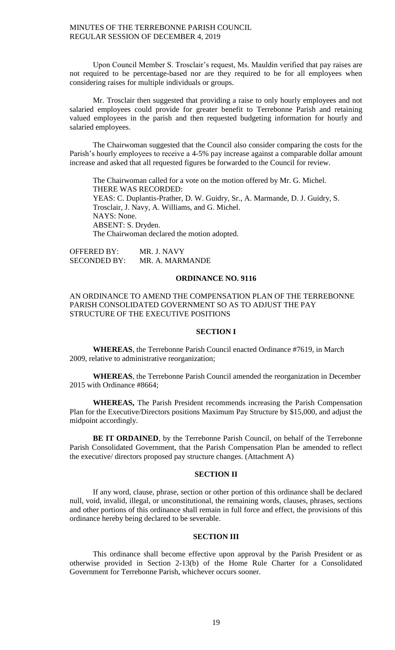Upon Council Member S. Trosclair's request, Ms. Mauldin verified that pay raises are not required to be percentage-based nor are they required to be for all employees when considering raises for multiple individuals or groups.

Mr. Trosclair then suggested that providing a raise to only hourly employees and not salaried employees could provide for greater benefit to Terrebonne Parish and retaining valued employees in the parish and then requested budgeting information for hourly and salaried employees.

The Chairwoman suggested that the Council also consider comparing the costs for the Parish's hourly employees to receive a 4-5% pay increase against a comparable dollar amount increase and asked that all requested figures be forwarded to the Council for review.

The Chairwoman called for a vote on the motion offered by Mr. G. Michel. THERE WAS RECORDED: YEAS: C. Duplantis-Prather, D. W. Guidry, Sr., A. Marmande, D. J. Guidry, S. Trosclair, J. Navy, A. Williams, and G. Michel. NAYS: None. ABSENT: S. Dryden. The Chairwoman declared the motion adopted.

OFFERED BY: MR. J. NAVY SECONDED BY: MR. A. MARMANDE

## **ORDINANCE NO. 9116**

## AN ORDINANCE TO AMEND THE COMPENSATION PLAN OF THE TERREBONNE PARISH CONSOLIDATED GOVERNMENT SO AS TO ADJUST THE PAY STRUCTURE OF THE EXECUTIVE POSITIONS

#### **SECTION I**

**WHEREAS**, the Terrebonne Parish Council enacted Ordinance #7619, in March 2009, relative to administrative reorganization;

**WHEREAS**, the Terrebonne Parish Council amended the reorganization in December 2015 with Ordinance #8664;

**WHEREAS,** The Parish President recommends increasing the Parish Compensation Plan for the Executive/Directors positions Maximum Pay Structure by \$15,000, and adjust the midpoint accordingly.

**BE IT ORDAINED**, by the Terrebonne Parish Council, on behalf of the Terrebonne Parish Consolidated Government, that the Parish Compensation Plan be amended to reflect the executive/ directors proposed pay structure changes. (Attachment A)

#### **SECTION II**

If any word, clause, phrase, section or other portion of this ordinance shall be declared null, void, invalid, illegal, or unconstitutional, the remaining words, clauses, phrases, sections and other portions of this ordinance shall remain in full force and effect, the provisions of this ordinance hereby being declared to be severable.

## **SECTION III**

This ordinance shall become effective upon approval by the Parish President or as otherwise provided in Section 2-13(b) of the Home Rule Charter for a Consolidated Government for Terrebonne Parish, whichever occurs sooner.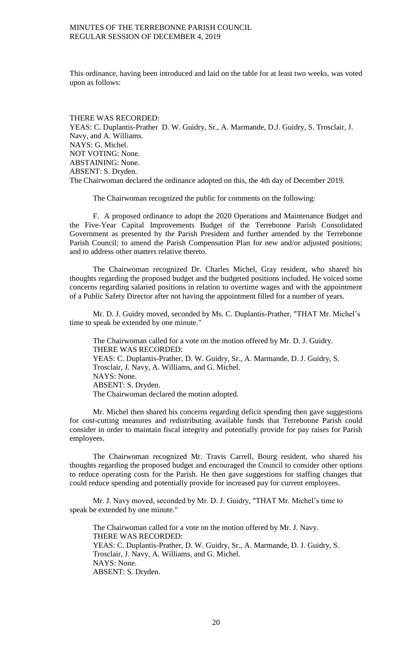This ordinance, having been introduced and laid on the table for at least two weeks, was voted upon as follows:

THERE WAS RECORDED: YEAS: C. Duplantis-Prather D. W. Guidry, Sr., A. Marmande, D.J. Guidry, S. Trosclair, J. Navy, and A. Williams. NAYS: G. Michel. NOT VOTING: None. ABSTAINING: None. ABSENT: S. Dryden. The Chairwoman declared the ordinance adopted on this, the 4th day of December 2019.

The Chairwoman recognized the public for comments on the following:

F. A proposed ordinance to adopt the 2020 Operations and Maintenance Budget and the Five-Year Capital Improvements Budget of the Terrebonne Parish Consolidated Government as presented by the Parish President and further amended by the Terrebonne Parish Council; to amend the Parish Compensation Plan for new and/or adjusted positions; and to address other matters relative thereto.

The Chairwoman recognized Dr. Charles Michel, Gray resident, who shared his thoughts regarding the proposed budget and the budgeted positions included. He voiced some concerns regarding salaried positions in relation to overtime wages and with the appointment of a Public Safety Director after not having the appointment filled for a number of years.

Mr. D. J. Guidry moved, seconded by Ms. C. Duplantis-Prather, "THAT Mr. Michel's time to speak be extended by one minute."

The Chairwoman called for a vote on the motion offered by Mr. D. J. Guidry. THERE WAS RECORDED: YEAS: C. Duplantis-Prather, D. W. Guidry, Sr., A. Marmande, D. J. Guidry, S. Trosclair, J. Navy, A. Williams, and G. Michel. NAYS: None. ABSENT: S. Dryden. The Chairwoman declared the motion adopted.

Mr. Michel then shared his concerns regarding deficit spending then gave suggestions for cost-cutting measures and redistributing available funds that Terrebonne Parish could consider in order to maintain fiscal integrity and potentially provide for pay raises for Parish employees.

The Chairwoman recognized Mr. Travis Carrell, Bourg resident, who shared his thoughts regarding the proposed budget and encouraged the Council to consider other options to reduce operating costs for the Parish. He then gave suggestions for staffing changes that could reduce spending and potentially provide for increased pay for current employees.

Mr. J. Navy moved, seconded by Mr. D. J. Guidry, "THAT Mr. Michel's time to speak be extended by one minute."

The Chairwoman called for a vote on the motion offered by Mr. J. Navy. THERE WAS RECORDED: YEAS: C. Duplantis-Prather, D. W. Guidry, Sr., A. Marmande, D. J. Guidry, S. Trosclair, J. Navy, A. Williams, and G. Michel. NAYS: None. ABSENT: S. Dryden.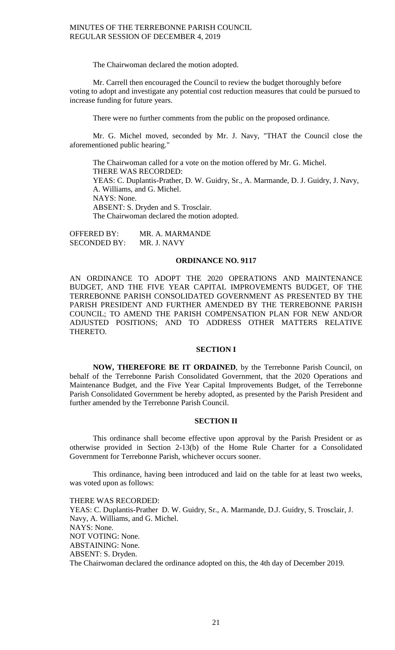The Chairwoman declared the motion adopted.

Mr. Carrell then encouraged the Council to review the budget thoroughly before voting to adopt and investigate any potential cost reduction measures that could be pursued to increase funding for future years.

There were no further comments from the public on the proposed ordinance.

Mr. G. Michel moved, seconded by Mr. J. Navy, "THAT the Council close the aforementioned public hearing."

The Chairwoman called for a vote on the motion offered by Mr. G. Michel. THERE WAS RECORDED: YEAS: C. Duplantis-Prather, D. W. Guidry, Sr., A. Marmande, D. J. Guidry, J. Navy, A. Williams, and G. Michel. NAYS: None. ABSENT: S. Dryden and S. Trosclair. The Chairwoman declared the motion adopted.

OFFERED BY: MR. A. MARMANDE SECONDED BY: MR. J. NAVY

#### **ORDINANCE NO. 9117**

AN ORDINANCE TO ADOPT THE 2020 OPERATIONS AND MAINTENANCE BUDGET, AND THE FIVE YEAR CAPITAL IMPROVEMENTS BUDGET, OF THE TERREBONNE PARISH CONSOLIDATED GOVERNMENT AS PRESENTED BY THE PARISH PRESIDENT AND FURTHER AMENDED BY THE TERREBONNE PARISH COUNCIL; TO AMEND THE PARISH COMPENSATION PLAN FOR NEW AND/OR ADJUSTED POSITIONS; AND TO ADDRESS OTHER MATTERS RELATIVE THERETO.

## **SECTION I**

**NOW, THEREFORE BE IT ORDAINED**, by the Terrebonne Parish Council, on behalf of the Terrebonne Parish Consolidated Government, that the 2020 Operations and Maintenance Budget, and the Five Year Capital Improvements Budget, of the Terrebonne Parish Consolidated Government be hereby adopted, as presented by the Parish President and further amended by the Terrebonne Parish Council.

### **SECTION II**

This ordinance shall become effective upon approval by the Parish President or as otherwise provided in Section 2-13(b) of the Home Rule Charter for a Consolidated Government for Terrebonne Parish, whichever occurs sooner.

This ordinance, having been introduced and laid on the table for at least two weeks, was voted upon as follows:

THERE WAS RECORDED: YEAS: C. Duplantis-Prather D. W. Guidry, Sr., A. Marmande, D.J. Guidry, S. Trosclair, J. Navy, A. Williams, and G. Michel. NAYS: None. NOT VOTING: None. ABSTAINING: None. ABSENT: S. Dryden. The Chairwoman declared the ordinance adopted on this, the 4th day of December 2019.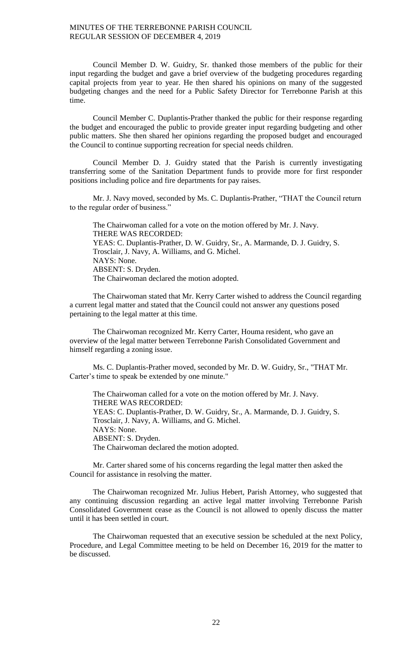Council Member D. W. Guidry, Sr. thanked those members of the public for their input regarding the budget and gave a brief overview of the budgeting procedures regarding capital projects from year to year. He then shared his opinions on many of the suggested budgeting changes and the need for a Public Safety Director for Terrebonne Parish at this time.

Council Member C. Duplantis-Prather thanked the public for their response regarding the budget and encouraged the public to provide greater input regarding budgeting and other public matters. She then shared her opinions regarding the proposed budget and encouraged the Council to continue supporting recreation for special needs children.

Council Member D. J. Guidry stated that the Parish is currently investigating transferring some of the Sanitation Department funds to provide more for first responder positions including police and fire departments for pay raises.

Mr. J. Navy moved, seconded by Ms. C. Duplantis-Prather, "THAT the Council return to the regular order of business."

The Chairwoman called for a vote on the motion offered by Mr. J. Navy. THERE WAS RECORDED: YEAS: C. Duplantis-Prather, D. W. Guidry, Sr., A. Marmande, D. J. Guidry, S. Trosclair, J. Navy, A. Williams, and G. Michel. NAYS: None. ABSENT: S. Dryden. The Chairwoman declared the motion adopted.

The Chairwoman stated that Mr. Kerry Carter wished to address the Council regarding a current legal matter and stated that the Council could not answer any questions posed pertaining to the legal matter at this time.

The Chairwoman recognized Mr. Kerry Carter, Houma resident, who gave an overview of the legal matter between Terrebonne Parish Consolidated Government and himself regarding a zoning issue.

Ms. C. Duplantis-Prather moved, seconded by Mr. D. W. Guidry, Sr., "THAT Mr. Carter's time to speak be extended by one minute."

The Chairwoman called for a vote on the motion offered by Mr. J. Navy. THERE WAS RECORDED: YEAS: C. Duplantis-Prather, D. W. Guidry, Sr., A. Marmande, D. J. Guidry, S. Trosclair, J. Navy, A. Williams, and G. Michel. NAYS: None. ABSENT: S. Dryden. The Chairwoman declared the motion adopted.

Mr. Carter shared some of his concerns regarding the legal matter then asked the Council for assistance in resolving the matter.

The Chairwoman recognized Mr. Julius Hebert, Parish Attorney, who suggested that any continuing discussion regarding an active legal matter involving Terrebonne Parish Consolidated Government cease as the Council is not allowed to openly discuss the matter until it has been settled in court.

The Chairwoman requested that an executive session be scheduled at the next Policy, Procedure, and Legal Committee meeting to be held on December 16, 2019 for the matter to be discussed.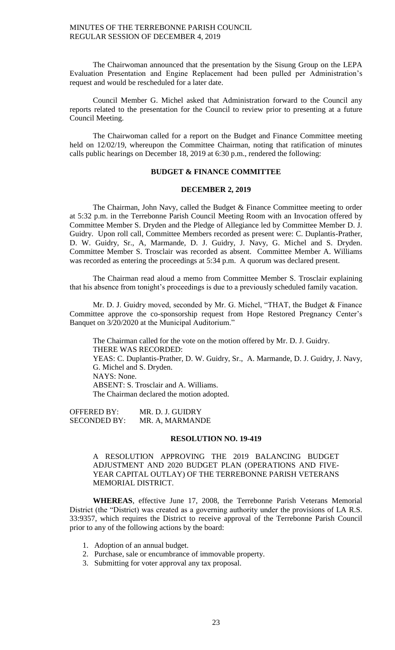The Chairwoman announced that the presentation by the Sisung Group on the LEPA Evaluation Presentation and Engine Replacement had been pulled per Administration's request and would be rescheduled for a later date.

Council Member G. Michel asked that Administration forward to the Council any reports related to the presentation for the Council to review prior to presenting at a future Council Meeting.

The Chairwoman called for a report on the Budget and Finance Committee meeting held on 12/02/19, whereupon the Committee Chairman, noting that ratification of minutes calls public hearings on December 18, 2019 at 6:30 p.m., rendered the following:

## **BUDGET & FINANCE COMMITTEE**

## **DECEMBER 2, 2019**

The Chairman, John Navy, called the Budget & Finance Committee meeting to order at 5:32 p.m. in the Terrebonne Parish Council Meeting Room with an Invocation offered by Committee Member S. Dryden and the Pledge of Allegiance led by Committee Member D. J. Guidry. Upon roll call, Committee Members recorded as present were: C. Duplantis-Prather, D. W. Guidry, Sr., A, Marmande, D. J. Guidry, J. Navy, G. Michel and S. Dryden. Committee Member S. Trosclair was recorded as absent. Committee Member A. Williams was recorded as entering the proceedings at 5:34 p.m. A quorum was declared present.

The Chairman read aloud a memo from Committee Member S. Trosclair explaining that his absence from tonight's proceedings is due to a previously scheduled family vacation.

Mr. D. J. Guidry moved, seconded by Mr. G. Michel, "THAT, the Budget & Finance Committee approve the co-sponsorship request from Hope Restored Pregnancy Center's Banquet on 3/20/2020 at the Municipal Auditorium."

The Chairman called for the vote on the motion offered by Mr. D. J. Guidry. THERE WAS RECORDED: YEAS: C. Duplantis-Prather, D. W. Guidry, Sr., A. Marmande, D. J. Guidry, J. Navy, G. Michel and S. Dryden. NAYS: None. ABSENT: S. Trosclair and A. Williams. The Chairman declared the motion adopted.

OFFERED BY: MR. D. J. GUIDRY SECONDED BY: MR. A, MARMANDE

#### **RESOLUTION NO. 19-419**

A RESOLUTION APPROVING THE 2019 BALANCING BUDGET ADJUSTMENT AND 2020 BUDGET PLAN (OPERATIONS AND FIVE-YEAR CAPITAL OUTLAY) OF THE TERREBONNE PARISH VETERANS MEMORIAL DISTRICT.

**WHEREAS**, effective June 17, 2008, the Terrebonne Parish Veterans Memorial District (the "District) was created as a governing authority under the provisions of LA R.S. 33:9357, which requires the District to receive approval of the Terrebonne Parish Council prior to any of the following actions by the board:

- 1. Adoption of an annual budget.
- 2. Purchase, sale or encumbrance of immovable property.
- 3. Submitting for voter approval any tax proposal.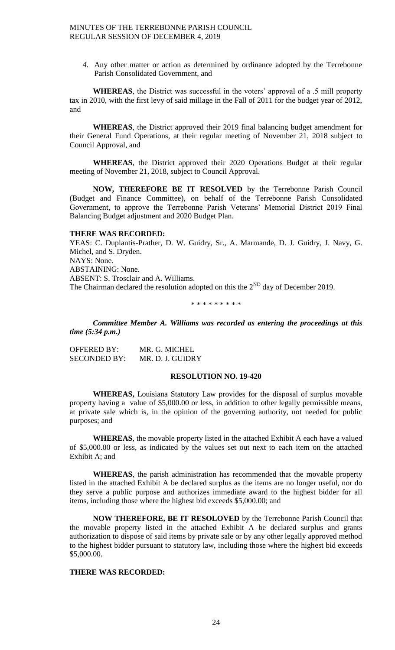4. Any other matter or action as determined by ordinance adopted by the Terrebonne Parish Consolidated Government, and

**WHEREAS**, the District was successful in the voters' approval of a .5 mill property tax in 2010, with the first levy of said millage in the Fall of 2011 for the budget year of 2012, and

**WHEREAS**, the District approved their 2019 final balancing budget amendment for their General Fund Operations, at their regular meeting of November 21, 2018 subject to Council Approval, and

**WHEREAS**, the District approved their 2020 Operations Budget at their regular meeting of November 21, 2018, subject to Council Approval.

**NOW, THEREFORE BE IT RESOLVED** by the Terrebonne Parish Council (Budget and Finance Committee), on behalf of the Terrebonne Parish Consolidated Government, to approve the Terrebonne Parish Veterans' Memorial District 2019 Final Balancing Budget adjustment and 2020 Budget Plan.

#### **THERE WAS RECORDED:**

YEAS: C. Duplantis-Prather, D. W. Guidry, Sr., A. Marmande, D. J. Guidry, J. Navy, G. Michel, and S. Dryden. NAYS: None. ABSTAINING: None. ABSENT: S. Trosclair and A. Williams. The Chairman declared the resolution adopted on this the  $2^{ND}$  day of December 2019.

#### \* \* \* \* \* \* \* \* \*

*Committee Member A. Williams was recorded as entering the proceedings at this time (5:34 p.m.)*

| OFFERED BY:  | MR. G. MICHEL    |
|--------------|------------------|
| SECONDED BY: | MR. D. J. GUIDRY |

#### **RESOLUTION NO. 19-420**

**WHEREAS,** Louisiana Statutory Law provides for the disposal of surplus movable property having a value of \$5,000.00 or less, in addition to other legally permissible means, at private sale which is, in the opinion of the governing authority, not needed for public purposes; and

**WHEREAS**, the movable property listed in the attached Exhibit A each have a valued of \$5,000.00 or less, as indicated by the values set out next to each item on the attached Exhibit A; and

**WHEREAS**, the parish administration has recommended that the movable property listed in the attached Exhibit A be declared surplus as the items are no longer useful, nor do they serve a public purpose and authorizes immediate award to the highest bidder for all items, including those where the highest bid exceeds \$5,000.00; and

**NOW THEREFORE, BE IT RESOLOVED** by the Terrebonne Parish Council that the movable property listed in the attached Exhibit A be declared surplus and grants authorization to dispose of said items by private sale or by any other legally approved method to the highest bidder pursuant to statutory law, including those where the highest bid exceeds \$5,000.00.

#### **THERE WAS RECORDED:**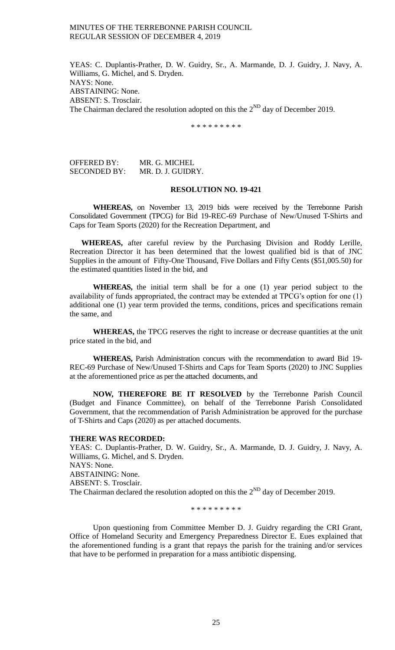YEAS: C. Duplantis-Prather, D. W. Guidry, Sr., A. Marmande, D. J. Guidry, J. Navy, A. Williams, G. Michel, and S. Dryden. NAYS: None. ABSTAINING: None. ABSENT: S. Trosclair. The Chairman declared the resolution adopted on this the  $2^{ND}$  day of December 2019.

\* \* \* \* \* \* \* \* \*

OFFERED BY: MR. G. MICHEL SECONDED BY: MR. D. J. GUIDRY.

#### **RESOLUTION NO. 19-421**

**WHEREAS,** on November 13, 2019 bids were received by the Terrebonne Parish Consolidated Government (TPCG) for Bid 19-REC-69 Purchase of New/Unused T-Shirts and Caps for Team Sports (2020) for the Recreation Department, and

**WHEREAS,** after careful review by the Purchasing Division and Roddy Lerille, Recreation Director it has been determined that the lowest qualified bid is that of JNC Supplies in the amount of Fifty-One Thousand, Five Dollars and Fifty Cents (\$51,005.50) for the estimated quantities listed in the bid, and

**WHEREAS,** the initial term shall be for a one (1) year period subject to the availability of funds appropriated, the contract may be extended at TPCG's option for one (1) additional one (1) year term provided the terms, conditions, prices and specifications remain the same, and

**WHEREAS,** the TPCG reserves the right to increase or decrease quantities at the unit price stated in the bid, and

**WHEREAS,** Parish Administration concurs with the recommendation to award Bid 19- REC-69 Purchase of New/Unused T-Shirts and Caps for Team Sports (2020) to JNC Supplies at the aforementioned price as per the attached documents, and

**NOW, THEREFORE BE IT RESOLVED** by the Terrebonne Parish Council (Budget and Finance Committee), on behalf of the Terrebonne Parish Consolidated Government, that the recommendation of Parish Administration be approved for the purchase of T-Shirts and Caps (2020) as per attached documents.

#### **THERE WAS RECORDED:**

YEAS: C. Duplantis-Prather, D. W. Guidry, Sr., A. Marmande, D. J. Guidry, J. Navy, A. Williams, G. Michel, and S. Dryden. NAYS: None. ABSTAINING: None. ABSENT: S. Trosclair. The Chairman declared the resolution adopted on this the  $2^{ND}$  day of December 2019.

\* \* \* \* \* \* \* \* \*

Upon questioning from Committee Member D. J. Guidry regarding the CRI Grant, Office of Homeland Security and Emergency Preparedness Director E. Eues explained that the aforementioned funding is a grant that repays the parish for the training and/or services that have to be performed in preparation for a mass antibiotic dispensing.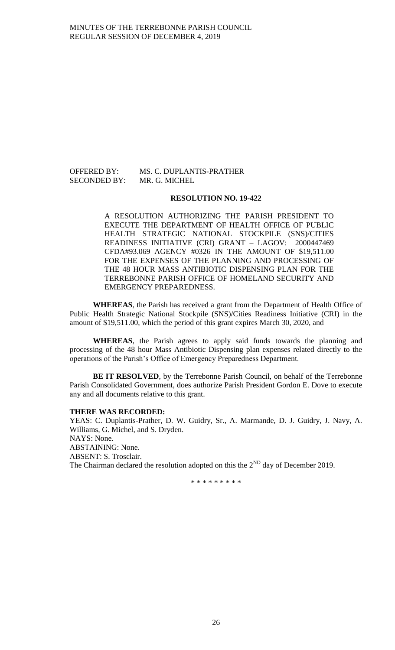## OFFERED BY: MS. C. DUPLANTIS-PRATHER SECONDED BY: MR. G. MICHEL

#### **RESOLUTION NO. 19-422**

A RESOLUTION AUTHORIZING THE PARISH PRESIDENT TO EXECUTE THE DEPARTMENT OF HEALTH OFFICE OF PUBLIC HEALTH STRATEGIC NATIONAL STOCKPILE (SNS)/CITIES READINESS INITIATIVE (CRI) GRANT – LAGOV: 2000447469 CFDA#93.069 AGENCY #0326 IN THE AMOUNT OF \$19,511.00 FOR THE EXPENSES OF THE PLANNING AND PROCESSING OF THE 48 HOUR MASS ANTIBIOTIC DISPENSING PLAN FOR THE TERREBONNE PARISH OFFICE OF HOMELAND SECURITY AND EMERGENCY PREPAREDNESS.

**WHEREAS**, the Parish has received a grant from the Department of Health Office of Public Health Strategic National Stockpile (SNS)/Cities Readiness Initiative (CRI) in the amount of \$19,511.00, which the period of this grant expires March 30, 2020, and

**WHEREAS**, the Parish agrees to apply said funds towards the planning and processing of the 48 hour Mass Antibiotic Dispensing plan expenses related directly to the operations of the Parish's Office of Emergency Preparedness Department.

**BE IT RESOLVED**, by the Terrebonne Parish Council, on behalf of the Terrebonne Parish Consolidated Government, does authorize Parish President Gordon E. Dove to execute any and all documents relative to this grant.

#### **THERE WAS RECORDED:**

YEAS: C. Duplantis-Prather, D. W. Guidry, Sr., A. Marmande, D. J. Guidry, J. Navy, A. Williams, G. Michel, and S. Dryden. NAYS: None. ABSTAINING: None. ABSENT: S. Trosclair. The Chairman declared the resolution adopted on this the  $2^{ND}$  day of December 2019.

\* \* \* \* \* \* \* \* \*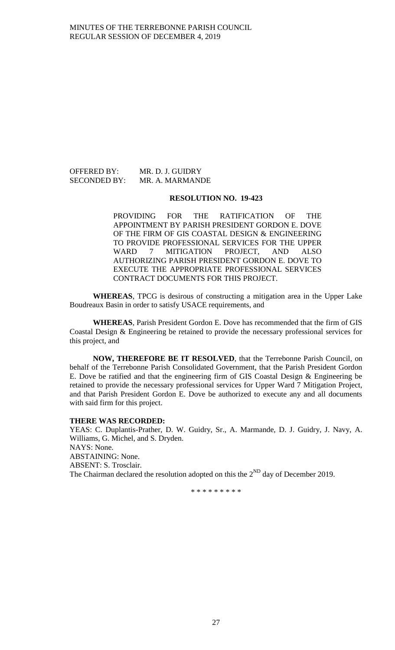## OFFERED BY: MR. D. J. GUIDRY SECONDED BY: MR. A. MARMANDE

## **RESOLUTION NO. 19-423**

PROVIDING FOR THE RATIFICATION OF THE APPOINTMENT BY PARISH PRESIDENT GORDON E. DOVE OF THE FIRM OF GIS COASTAL DESIGN & ENGINEERING TO PROVIDE PROFESSIONAL SERVICES FOR THE UPPER WARD 7 MITIGATION PROJECT, AND ALSO AUTHORIZING PARISH PRESIDENT GORDON E. DOVE TO EXECUTE THE APPROPRIATE PROFESSIONAL SERVICES CONTRACT DOCUMENTS FOR THIS PROJECT.

**WHEREAS**, TPCG is desirous of constructing a mitigation area in the Upper Lake Boudreaux Basin in order to satisfy USACE requirements, and

**WHEREAS**, Parish President Gordon E. Dove has recommended that the firm of GIS Coastal Design & Engineering be retained to provide the necessary professional services for this project, and

**NOW, THEREFORE BE IT RESOLVED**, that the Terrebonne Parish Council, on behalf of the Terrebonne Parish Consolidated Government, that the Parish President Gordon E. Dove be ratified and that the engineering firm of GIS Coastal Design & Engineering be retained to provide the necessary professional services for Upper Ward 7 Mitigation Project, and that Parish President Gordon E. Dove be authorized to execute any and all documents with said firm for this project.

### **THERE WAS RECORDED:**

YEAS: C. Duplantis-Prather, D. W. Guidry, Sr., A. Marmande, D. J. Guidry, J. Navy, A. Williams, G. Michel, and S. Dryden. NAYS: None. ABSTAINING: None. ABSENT: S. Trosclair. The Chairman declared the resolution adopted on this the  $2^{ND}$  day of December 2019.

\* \* \* \* \* \* \* \* \*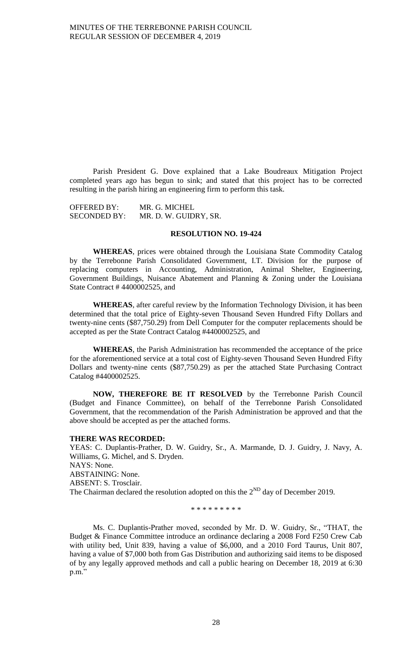Parish President G. Dove explained that a Lake Boudreaux Mitigation Project completed years ago has begun to sink; and stated that this project has to be corrected resulting in the parish hiring an engineering firm to perform this task.

OFFERED BY: MR. G. MICHEL SECONDED BY: MR. D. W. GUIDRY, SR.

#### **RESOLUTION NO. 19-424**

**WHEREAS**, prices were obtained through the Louisiana State Commodity Catalog by the Terrebonne Parish Consolidated Government, I.T. Division for the purpose of replacing computers in Accounting, Administration, Animal Shelter, Engineering, Government Buildings, Nuisance Abatement and Planning & Zoning under the Louisiana State Contract # 4400002525, and

**WHEREAS**, after careful review by the Information Technology Division, it has been determined that the total price of Eighty-seven Thousand Seven Hundred Fifty Dollars and twenty-nine cents (\$87,750.29) from Dell Computer for the computer replacements should be accepted as per the State Contract Catalog #4400002525, and

**WHEREAS**, the Parish Administration has recommended the acceptance of the price for the aforementioned service at a total cost of Eighty-seven Thousand Seven Hundred Fifty Dollars and twenty-nine cents (\$87,750.29) as per the attached State Purchasing Contract Catalog #4400002525.

**NOW, THEREFORE BE IT RESOLVED** by the Terrebonne Parish Council (Budget and Finance Committee), on behalf of the Terrebonne Parish Consolidated Government, that the recommendation of the Parish Administration be approved and that the above should be accepted as per the attached forms.

#### **THERE WAS RECORDED:**

YEAS: C. Duplantis-Prather, D. W. Guidry, Sr., A. Marmande, D. J. Guidry, J. Navy, A. Williams, G. Michel, and S. Dryden. NAYS: None. ABSTAINING: None. ABSENT: S. Trosclair. The Chairman declared the resolution adopted on this the  $2^{ND}$  day of December 2019.

\* \* \* \* \* \* \* \* \*

Ms. C. Duplantis-Prather moved, seconded by Mr. D. W. Guidry, Sr., "THAT, the Budget & Finance Committee introduce an ordinance declaring a 2008 Ford F250 Crew Cab with utility bed, Unit 839, having a value of \$6,000, and a 2010 Ford Taurus, Unit 807, having a value of \$7,000 both from Gas Distribution and authorizing said items to be disposed of by any legally approved methods and call a public hearing on December 18, 2019 at 6:30 p.m."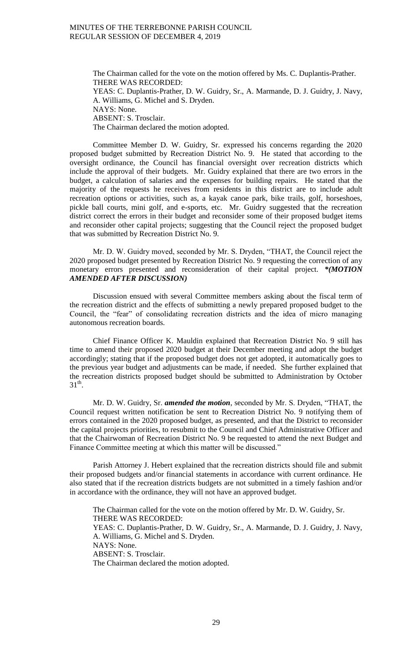The Chairman called for the vote on the motion offered by Ms. C. Duplantis-Prather. THERE WAS RECORDED: YEAS: C. Duplantis-Prather, D. W. Guidry, Sr., A. Marmande, D. J. Guidry, J. Navy, A. Williams, G. Michel and S. Dryden. NAYS: None. ABSENT: S. Trosclair. The Chairman declared the motion adopted.

Committee Member D. W. Guidry, Sr. expressed his concerns regarding the 2020 proposed budget submitted by Recreation District No. 9. He stated that according to the oversight ordinance, the Council has financial oversight over recreation districts which include the approval of their budgets. Mr. Guidry explained that there are two errors in the budget, a calculation of salaries and the expenses for building repairs. He stated that the majority of the requests he receives from residents in this district are to include adult recreation options or activities, such as, a kayak canoe park, bike trails, golf, horseshoes, pickle ball courts, mini golf, and e-sports, etc. Mr. Guidry suggested that the recreation district correct the errors in their budget and reconsider some of their proposed budget items and reconsider other capital projects; suggesting that the Council reject the proposed budget that was submitted by Recreation District No. 9.

Mr. D. W. Guidry moved, seconded by Mr. S. Dryden, "THAT, the Council reject the 2020 proposed budget presented by Recreation District No. 9 requesting the correction of any monetary errors presented and reconsideration of their capital project. *\*(MOTION AMENDED AFTER DISCUSSION)*

Discussion ensued with several Committee members asking about the fiscal term of the recreation district and the effects of submitting a newly prepared proposed budget to the Council, the "fear" of consolidating recreation districts and the idea of micro managing autonomous recreation boards.

Chief Finance Officer K. Mauldin explained that Recreation District No. 9 still has time to amend their proposed 2020 budget at their December meeting and adopt the budget accordingly; stating that if the proposed budget does not get adopted, it automatically goes to the previous year budget and adjustments can be made, if needed. She further explained that the recreation districts proposed budget should be submitted to Administration by October  $31<sup>th</sup>$ .

Mr. D. W. Guidry, Sr. *amended the motion*, seconded by Mr. S. Dryden, "THAT, the Council request written notification be sent to Recreation District No. 9 notifying them of errors contained in the 2020 proposed budget, as presented, and that the District to reconsider the capital projects priorities, to resubmit to the Council and Chief Administrative Officer and that the Chairwoman of Recreation District No. 9 be requested to attend the next Budget and Finance Committee meeting at which this matter will be discussed."

Parish Attorney J. Hebert explained that the recreation districts should file and submit their proposed budgets and/or financial statements in accordance with current ordinance. He also stated that if the recreation districts budgets are not submitted in a timely fashion and/or in accordance with the ordinance, they will not have an approved budget.

The Chairman called for the vote on the motion offered by Mr. D. W. Guidry, Sr. THERE WAS RECORDED: YEAS: C. Duplantis-Prather, D. W. Guidry, Sr., A. Marmande, D. J. Guidry, J. Navy, A. Williams, G. Michel and S. Dryden. NAYS: None. ABSENT: S. Trosclair. The Chairman declared the motion adopted.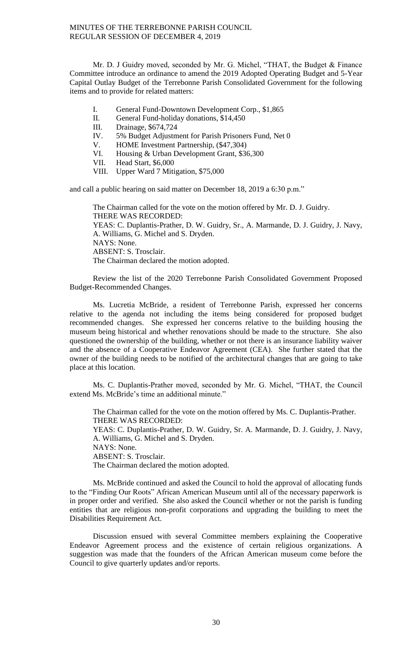Mr. D. J Guidry moved, seconded by Mr. G. Michel, "THAT, the Budget & Finance Committee introduce an ordinance to amend the 2019 Adopted Operating Budget and 5-Year Capital Outlay Budget of the Terrebonne Parish Consolidated Government for the following items and to provide for related matters:

- I. General Fund-Downtown Development Corp., \$1,865
- II. General Fund-holiday donations, \$14,450
- III. Drainage, \$674,724
- IV. 5% Budget Adjustment for Parish Prisoners Fund, Net 0
- V. HOME Investment Partnership, (\$47,304)
- VI. Housing & Urban Development Grant, \$36,300
- VII. Head Start, \$6,000
- VIII. Upper Ward 7 Mitigation, \$75,000

and call a public hearing on said matter on December 18, 2019 a 6:30 p.m."

The Chairman called for the vote on the motion offered by Mr. D. J. Guidry. THERE WAS RECORDED: YEAS: C. Duplantis-Prather, D. W. Guidry, Sr., A. Marmande, D. J. Guidry, J. Navy, A. Williams, G. Michel and S. Dryden. NAYS: None. ABSENT: S. Trosclair. The Chairman declared the motion adopted.

Review the list of the 2020 Terrebonne Parish Consolidated Government Proposed Budget-Recommended Changes.

Ms. Lucretia McBride, a resident of Terrebonne Parish, expressed her concerns relative to the agenda not including the items being considered for proposed budget recommended changes. She expressed her concerns relative to the building housing the museum being historical and whether renovations should be made to the structure. She also questioned the ownership of the building, whether or not there is an insurance liability waiver and the absence of a Cooperative Endeavor Agreement (CEA). She further stated that the owner of the building needs to be notified of the architectural changes that are going to take place at this location.

Ms. C. Duplantis-Prather moved, seconded by Mr. G. Michel, "THAT, the Council extend Ms. McBride's time an additional minute."

The Chairman called for the vote on the motion offered by Ms. C. Duplantis-Prather. THERE WAS RECORDED:

YEAS: C. Duplantis-Prather, D. W. Guidry, Sr. A. Marmande, D. J. Guidry, J. Navy, A. Williams, G. Michel and S. Dryden.

NAYS: None.

ABSENT: S. Trosclair.

The Chairman declared the motion adopted.

Ms. McBride continued and asked the Council to hold the approval of allocating funds to the "Finding Our Roots" African American Museum until all of the necessary paperwork is in proper order and verified. She also asked the Council whether or not the parish is funding entities that are religious non-profit corporations and upgrading the building to meet the Disabilities Requirement Act.

Discussion ensued with several Committee members explaining the Cooperative Endeavor Agreement process and the existence of certain religious organizations. A suggestion was made that the founders of the African American museum come before the Council to give quarterly updates and/or reports.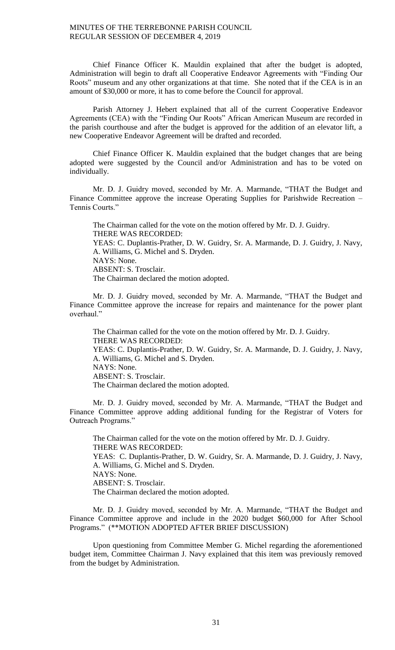Chief Finance Officer K. Mauldin explained that after the budget is adopted, Administration will begin to draft all Cooperative Endeavor Agreements with "Finding Our Roots" museum and any other organizations at that time. She noted that if the CEA is in an amount of \$30,000 or more, it has to come before the Council for approval.

Parish Attorney J. Hebert explained that all of the current Cooperative Endeavor Agreements (CEA) with the "Finding Our Roots" African American Museum are recorded in the parish courthouse and after the budget is approved for the addition of an elevator lift, a new Cooperative Endeavor Agreement will be drafted and recorded.

Chief Finance Officer K. Mauldin explained that the budget changes that are being adopted were suggested by the Council and/or Administration and has to be voted on individually.

Mr. D. J. Guidry moved, seconded by Mr. A. Marmande, "THAT the Budget and Finance Committee approve the increase Operating Supplies for Parishwide Recreation – Tennis Courts."

The Chairman called for the vote on the motion offered by Mr. D. J. Guidry. THERE WAS RECORDED: YEAS: C. Duplantis-Prather, D. W. Guidry, Sr. A. Marmande, D. J. Guidry, J. Navy, A. Williams, G. Michel and S. Dryden. NAYS: None. ABSENT: S. Trosclair. The Chairman declared the motion adopted.

Mr. D. J. Guidry moved, seconded by Mr. A. Marmande, "THAT the Budget and Finance Committee approve the increase for repairs and maintenance for the power plant overhaul."

The Chairman called for the vote on the motion offered by Mr. D. J. Guidry. THERE WAS RECORDED: YEAS: C. Duplantis-Prather, D. W. Guidry, Sr. A. Marmande, D. J. Guidry, J. Navy, A. Williams, G. Michel and S. Dryden. NAYS: None. ABSENT: S. Trosclair. The Chairman declared the motion adopted.

Mr. D. J. Guidry moved, seconded by Mr. A. Marmande, "THAT the Budget and Finance Committee approve adding additional funding for the Registrar of Voters for Outreach Programs."

The Chairman called for the vote on the motion offered by Mr. D. J. Guidry. THERE WAS RECORDED: YEAS: C. Duplantis-Prather, D. W. Guidry, Sr. A. Marmande, D. J. Guidry, J. Navy, A. Williams, G. Michel and S. Dryden. NAYS: None. ABSENT: S. Trosclair. The Chairman declared the motion adopted.

Mr. D. J. Guidry moved, seconded by Mr. A. Marmande, "THAT the Budget and Finance Committee approve and include in the 2020 budget \$60,000 for After School Programs." (\*\*MOTION ADOPTED AFTER BRIEF DISCUSSION)

Upon questioning from Committee Member G. Michel regarding the aforementioned budget item, Committee Chairman J. Navy explained that this item was previously removed from the budget by Administration.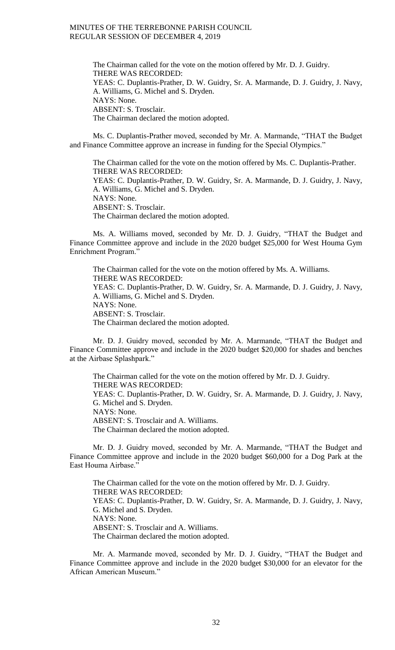The Chairman called for the vote on the motion offered by Mr. D. J. Guidry. THERE WAS RECORDED: YEAS: C. Duplantis-Prather, D. W. Guidry, Sr. A. Marmande, D. J. Guidry, J. Navy, A. Williams, G. Michel and S. Dryden. NAYS: None. ABSENT: S. Trosclair. The Chairman declared the motion adopted.

Ms. C. Duplantis-Prather moved, seconded by Mr. A. Marmande, "THAT the Budget and Finance Committee approve an increase in funding for the Special Olympics."

The Chairman called for the vote on the motion offered by Ms. C. Duplantis-Prather. THERE WAS RECORDED: YEAS: C. Duplantis-Prather, D. W. Guidry, Sr. A. Marmande, D. J. Guidry, J. Navy, A. Williams, G. Michel and S. Dryden. NAYS: None. ABSENT: S. Trosclair. The Chairman declared the motion adopted.

Ms. A. Williams moved, seconded by Mr. D. J. Guidry, "THAT the Budget and Finance Committee approve and include in the 2020 budget \$25,000 for West Houma Gym Enrichment Program."

The Chairman called for the vote on the motion offered by Ms. A. Williams. THERE WAS RECORDED: YEAS: C. Duplantis-Prather, D. W. Guidry, Sr. A. Marmande, D. J. Guidry, J. Navy, A. Williams, G. Michel and S. Dryden. NAYS: None. ABSENT: S. Trosclair. The Chairman declared the motion adopted.

Mr. D. J. Guidry moved, seconded by Mr. A. Marmande, "THAT the Budget and Finance Committee approve and include in the 2020 budget \$20,000 for shades and benches at the Airbase Splashpark."

The Chairman called for the vote on the motion offered by Mr. D. J. Guidry. THERE WAS RECORDED: YEAS: C. Duplantis-Prather, D. W. Guidry, Sr. A. Marmande, D. J. Guidry, J. Navy, G. Michel and S. Dryden. NAYS: None. ABSENT: S. Trosclair and A. Williams. The Chairman declared the motion adopted.

Mr. D. J. Guidry moved, seconded by Mr. A. Marmande, "THAT the Budget and Finance Committee approve and include in the 2020 budget \$60,000 for a Dog Park at the East Houma Airbase."

The Chairman called for the vote on the motion offered by Mr. D. J. Guidry. THERE WAS RECORDED: YEAS: C. Duplantis-Prather, D. W. Guidry, Sr. A. Marmande, D. J. Guidry, J. Navy, G. Michel and S. Dryden. NAYS: None. ABSENT: S. Trosclair and A. Williams. The Chairman declared the motion adopted.

Mr. A. Marmande moved, seconded by Mr. D. J. Guidry, "THAT the Budget and Finance Committee approve and include in the 2020 budget \$30,000 for an elevator for the African American Museum."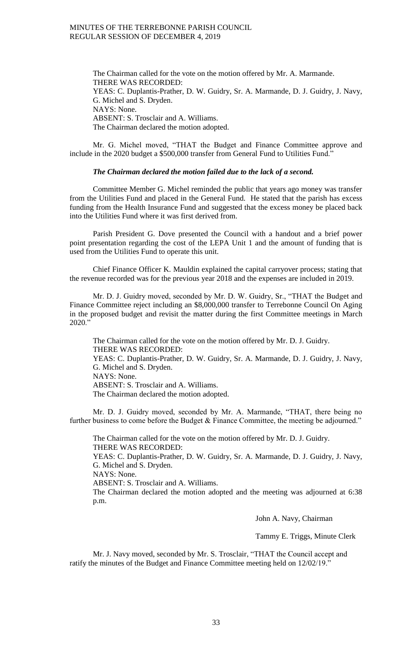The Chairman called for the vote on the motion offered by Mr. A. Marmande. THERE WAS RECORDED: YEAS: C. Duplantis-Prather, D. W. Guidry, Sr. A. Marmande, D. J. Guidry, J. Navy, G. Michel and S. Dryden. NAYS: None. ABSENT: S. Trosclair and A. Williams. The Chairman declared the motion adopted.

Mr. G. Michel moved, "THAT the Budget and Finance Committee approve and include in the 2020 budget a \$500,000 transfer from General Fund to Utilities Fund."

## *The Chairman declared the motion failed due to the lack of a second.*

Committee Member G. Michel reminded the public that years ago money was transfer from the Utilities Fund and placed in the General Fund. He stated that the parish has excess funding from the Health Insurance Fund and suggested that the excess money be placed back into the Utilities Fund where it was first derived from.

Parish President G. Dove presented the Council with a handout and a brief power point presentation regarding the cost of the LEPA Unit 1 and the amount of funding that is used from the Utilities Fund to operate this unit.

Chief Finance Officer K. Mauldin explained the capital carryover process; stating that the revenue recorded was for the previous year 2018 and the expenses are included in 2019.

Mr. D. J. Guidry moved, seconded by Mr. D. W. Guidry, Sr., "THAT the Budget and Finance Committee reject including an \$8,000,000 transfer to Terrebonne Council On Aging in the proposed budget and revisit the matter during the first Committee meetings in March 2020."

The Chairman called for the vote on the motion offered by Mr. D. J. Guidry. THERE WAS RECORDED: YEAS: C. Duplantis-Prather, D. W. Guidry, Sr. A. Marmande, D. J. Guidry, J. Navy, G. Michel and S. Dryden. NAYS: None. ABSENT: S. Trosclair and A. Williams. The Chairman declared the motion adopted.

Mr. D. J. Guidry moved, seconded by Mr. A. Marmande, "THAT, there being no further business to come before the Budget & Finance Committee, the meeting be adjourned."

The Chairman called for the vote on the motion offered by Mr. D. J. Guidry. THERE WAS RECORDED: YEAS: C. Duplantis-Prather, D. W. Guidry, Sr. A. Marmande, D. J. Guidry, J. Navy, G. Michel and S. Dryden. NAYS: None. ABSENT: S. Trosclair and A. Williams. The Chairman declared the motion adopted and the meeting was adjourned at 6:38 p.m.

John A. Navy, Chairman

Tammy E. Triggs, Minute Clerk

Mr. J. Navy moved, seconded by Mr. S. Trosclair, "THAT the Council accept and ratify the minutes of the Budget and Finance Committee meeting held on 12/02/19."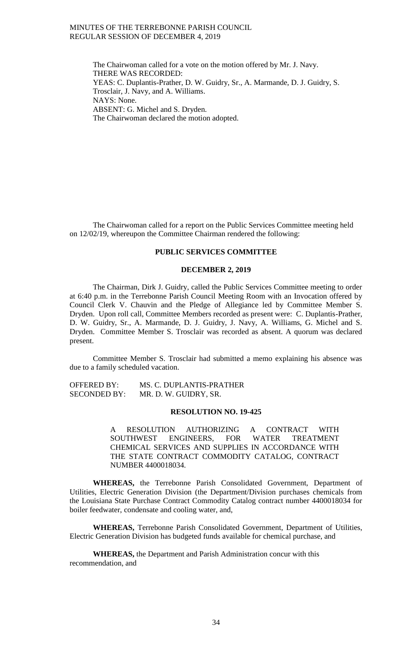The Chairwoman called for a vote on the motion offered by Mr. J. Navy. THERE WAS RECORDED: YEAS: C. Duplantis-Prather, D. W. Guidry, Sr., A. Marmande, D. J. Guidry, S. Trosclair, J. Navy, and A. Williams. NAYS: None. ABSENT: G. Michel and S. Dryden. The Chairwoman declared the motion adopted.

The Chairwoman called for a report on the Public Services Committee meeting held on 12/02/19, whereupon the Committee Chairman rendered the following:

## **PUBLIC SERVICES COMMITTEE**

## **DECEMBER 2, 2019**

The Chairman, Dirk J. Guidry, called the Public Services Committee meeting to order at 6:40 p.m. in the Terrebonne Parish Council Meeting Room with an Invocation offered by Council Clerk V. Chauvin and the Pledge of Allegiance led by Committee Member S. Dryden. Upon roll call, Committee Members recorded as present were: C. Duplantis-Prather, D. W. Guidry, Sr., A. Marmande, D. J. Guidry, J. Navy, A. Williams, G. Michel and S. Dryden. Committee Member S. Trosclair was recorded as absent. A quorum was declared present.

Committee Member S. Trosclair had submitted a memo explaining his absence was due to a family scheduled vacation.

| <b>OFFERED BY:</b>  | MS. C. DUPLANTIS-PRATHER |
|---------------------|--------------------------|
| <b>SECONDED BY:</b> | MR. D. W. GUIDRY, SR.    |

#### **RESOLUTION NO. 19-425**

A RESOLUTION AUTHORIZING A CONTRACT WITH SOUTHWEST ENGINEERS, FOR WATER TREATMENT CHEMICAL SERVICES AND SUPPLIES IN ACCORDANCE WITH THE STATE CONTRACT COMMODITY CATALOG, CONTRACT NUMBER 4400018034.

**WHEREAS,** the Terrebonne Parish Consolidated Government, Department of Utilities, Electric Generation Division (the Department/Division purchases chemicals from the Louisiana State Purchase Contract Commodity Catalog contract number 4400018034 for boiler feedwater, condensate and cooling water, and,

**WHEREAS,** Terrebonne Parish Consolidated Government, Department of Utilities, Electric Generation Division has budgeted funds available for chemical purchase, and

**WHEREAS,** the Department and Parish Administration concur with this recommendation, and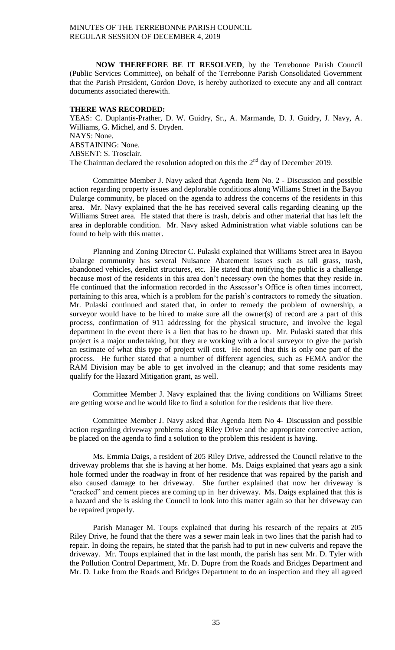**NOW THEREFORE BE IT RESOLVED**, by the Terrebonne Parish Council (Public Services Committee), on behalf of the Terrebonne Parish Consolidated Government that the Parish President, Gordon Dove, is hereby authorized to execute any and all contract documents associated therewith.

#### **THERE WAS RECORDED:**

YEAS: C. Duplantis-Prather, D. W. Guidry, Sr., A. Marmande, D. J. Guidry, J. Navy, A. Williams, G. Michel, and S. Dryden. NAYS: None. ABSTAINING: None. ABSENT: S. Trosclair. The Chairman declared the resolution adopted on this the  $2<sup>nd</sup>$  day of December 2019.

Committee Member J. Navy asked that Agenda Item No. 2 - Discussion and possible action regarding property issues and deplorable conditions along Williams Street in the Bayou Dularge community, be placed on the agenda to address the concerns of the residents in this area. Mr. Navy explained that the he has received several calls regarding cleaning up the Williams Street area. He stated that there is trash, debris and other material that has left the area in deplorable condition. Mr. Navy asked Administration what viable solutions can be found to help with this matter.

Planning and Zoning Director C. Pulaski explained that Williams Street area in Bayou Dularge community has several Nuisance Abatement issues such as tall grass, trash, abandoned vehicles, derelict structures, etc. He stated that notifying the public is a challenge because most of the residents in this area don't necessary own the homes that they reside in. He continued that the information recorded in the Assessor's Office is often times incorrect, pertaining to this area, which is a problem for the parish's contractors to remedy the situation. Mr. Pulaski continued and stated that, in order to remedy the problem of ownership, a surveyor would have to be hired to make sure all the owner(s) of record are a part of this process, confirmation of 911 addressing for the physical structure, and involve the legal department in the event there is a lien that has to be drawn up. Mr. Pulaski stated that this project is a major undertaking, but they are working with a local surveyor to give the parish an estimate of what this type of project will cost. He noted that this is only one part of the process. He further stated that a number of different agencies, such as FEMA and/or the RAM Division may be able to get involved in the cleanup; and that some residents may qualify for the Hazard Mitigation grant, as well.

Committee Member J. Navy explained that the living conditions on Williams Street are getting worse and he would like to find a solution for the residents that live there.

Committee Member J. Navy asked that Agenda Item No 4- Discussion and possible action regarding driveway problems along Riley Drive and the appropriate corrective action, be placed on the agenda to find a solution to the problem this resident is having.

Ms. Emmia Daigs, a resident of 205 Riley Drive, addressed the Council relative to the driveway problems that she is having at her home. Ms. Daigs explained that years ago a sink hole formed under the roadway in front of her residence that was repaired by the parish and also caused damage to her driveway. She further explained that now her driveway is "cracked" and cement pieces are coming up in her driveway. Ms. Daigs explained that this is a hazard and she is asking the Council to look into this matter again so that her driveway can be repaired properly.

Parish Manager M. Toups explained that during his research of the repairs at 205 Riley Drive, he found that the there was a sewer main leak in two lines that the parish had to repair. In doing the repairs, he stated that the parish had to put in new culverts and repave the driveway. Mr. Toups explained that in the last month, the parish has sent Mr. D. Tyler with the Pollution Control Department, Mr. D. Dupre from the Roads and Bridges Department and Mr. D. Luke from the Roads and Bridges Department to do an inspection and they all agreed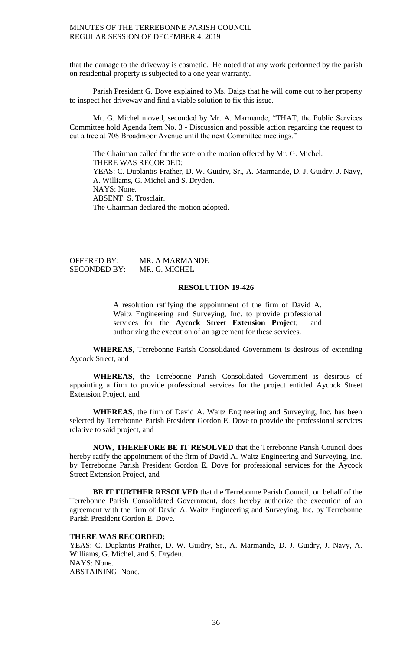that the damage to the driveway is cosmetic. He noted that any work performed by the parish on residential property is subjected to a one year warranty.

Parish President G. Dove explained to Ms. Daigs that he will come out to her property to inspect her driveway and find a viable solution to fix this issue.

Mr. G. Michel moved, seconded by Mr. A. Marmande, "THAT, the Public Services Committee hold Agenda Item No. 3 - Discussion and possible action regarding the request to cut a tree at 708 Broadmoor Avenue until the next Committee meetings."

The Chairman called for the vote on the motion offered by Mr. G. Michel. THERE WAS RECORDED: YEAS: C. Duplantis-Prather, D. W. Guidry, Sr., A. Marmande, D. J. Guidry, J. Navy, A. Williams, G. Michel and S. Dryden. NAYS: None. ABSENT: S. Trosclair. The Chairman declared the motion adopted.

OFFERED BY: MR. A MARMANDE<br>SECONDED BY: MR. G. MICHEL SECONDED BY:

## **RESOLUTION 19-426**

A resolution ratifying the appointment of the firm of David A. Waitz Engineering and Surveying, Inc. to provide professional services for the **Aycock Street Extension Project**; and authorizing the execution of an agreement for these services.

**WHEREAS**, Terrebonne Parish Consolidated Government is desirous of extending Aycock Street, and

**WHEREAS**, the Terrebonne Parish Consolidated Government is desirous of appointing a firm to provide professional services for the project entitled Aycock Street Extension Project, and

**WHEREAS**, the firm of David A. Waitz Engineering and Surveying, Inc. has been selected by Terrebonne Parish President Gordon E. Dove to provide the professional services relative to said project, and

**NOW, THEREFORE BE IT RESOLVED** that the Terrebonne Parish Council does hereby ratify the appointment of the firm of David A. Waitz Engineering and Surveying, Inc. by Terrebonne Parish President Gordon E. Dove for professional services for the Aycock Street Extension Project, and

**BE IT FURTHER RESOLVED** that the Terrebonne Parish Council, on behalf of the Terrebonne Parish Consolidated Government, does hereby authorize the execution of an agreement with the firm of David A. Waitz Engineering and Surveying, Inc. by Terrebonne Parish President Gordon E. Dove.

#### **THERE WAS RECORDED:**

YEAS: C. Duplantis-Prather, D. W. Guidry, Sr., A. Marmande, D. J. Guidry, J. Navy, A. Williams, G. Michel, and S. Dryden. NAYS: None. ABSTAINING: None.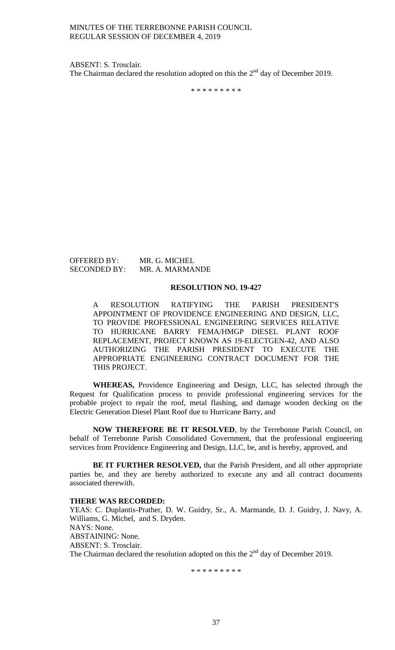ABSENT: S. Trosclair. The Chairman declared the resolution adopted on this the  $2<sup>nd</sup>$  day of December 2019.

\* \* \* \* \* \* \* \* \*

OFFERED BY: MR. G. MICHEL<br>SECONDED BY: MR. A. MARMAI

MR. A. MARMANDE

#### **RESOLUTION NO. 19-427**

A RESOLUTION RATIFYING THE PARISH PRESIDENT'S APPOINTMENT OF PROVIDENCE ENGINEERING AND DESIGN, LLC, TO PROVIDE PROFESSIONAL ENGINEERING SERVICES RELATIVE TO HURRICANE BARRY FEMA/HMGP DIESEL PLANT ROOF REPLACEMENT, PROJECT KNOWN AS 19-ELECTGEN-42, AND ALSO AUTHORIZING THE PARISH PRESIDENT TO EXECUTE THE APPROPRIATE ENGINEERING CONTRACT DOCUMENT FOR THE THIS PROJECT.

**WHEREAS,** Providence Engineering and Design, LLC, has selected through the Request for Qualification process to provide professional engineering services for the probable project to repair the roof, metal flashing, and damage wooden decking on the Electric Generation Diesel Plant Roof due to Hurricane Barry, and

**NOW THEREFORE BE IT RESOLVED**, by the Terrebonne Parish Council, on behalf of Terrebonne Parish Consolidated Government, that the professional engineering services from Providence Engineering and Design, LLC, be, and is hereby, approved, and

**BE IT FURTHER RESOLVED,** that the Parish President, and all other appropriate parties be, and they are hereby authorized to execute any and all contract documents associated therewith.

#### **THERE WAS RECORDED:**

YEAS: C. Duplantis-Prather, D. W. Guidry, Sr., A. Marmande, D. J. Guidry, J. Navy, A. Williams, G. Michel, and S. Dryden. NAYS: None. ABSTAINING: None. ABSENT: S. Trosclair. The Chairman declared the resolution adopted on this the  $2<sup>nd</sup>$  day of December 2019.

\* \* \* \* \* \* \* \* \*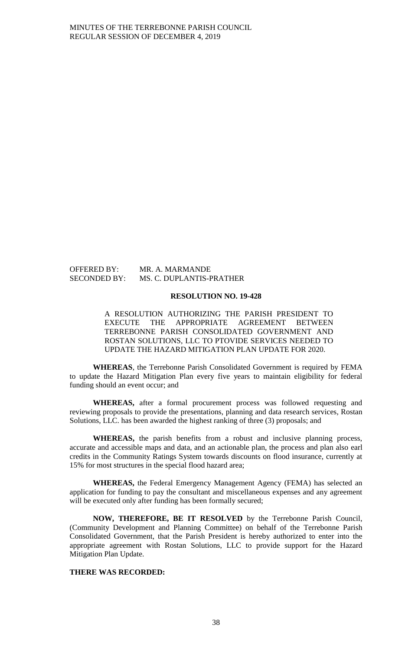OFFERED BY: MR. A. MARMANDE

# SECONDED BY: MS. C. DUPLANTIS-PRATHER

#### **RESOLUTION NO. 19-428**

A RESOLUTION AUTHORIZING THE PARISH PRESIDENT TO EXECUTE THE APPROPRIATE AGREEMENT BETWEEN TERREBONNE PARISH CONSOLIDATED GOVERNMENT AND ROSTAN SOLUTIONS, LLC TO PTOVIDE SERVICES NEEDED TO UPDATE THE HAZARD MITIGATION PLAN UPDATE FOR 2020.

**WHEREAS**, the Terrebonne Parish Consolidated Government is required by FEMA to update the Hazard Mitigation Plan every five years to maintain eligibility for federal funding should an event occur; and

**WHEREAS,** after a formal procurement process was followed requesting and reviewing proposals to provide the presentations, planning and data research services, Rostan Solutions, LLC. has been awarded the highest ranking of three (3) proposals; and

**WHEREAS,** the parish benefits from a robust and inclusive planning process, accurate and accessible maps and data, and an actionable plan, the process and plan also earl credits in the Community Ratings System towards discounts on flood insurance, currently at 15% for most structures in the special flood hazard area;

**WHEREAS,** the Federal Emergency Management Agency (FEMA) has selected an application for funding to pay the consultant and miscellaneous expenses and any agreement will be executed only after funding has been formally secured;

**NOW, THEREFORE, BE IT RESOLVED** by the Terrebonne Parish Council, (Community Development and Planning Committee) on behalf of the Terrebonne Parish Consolidated Government, that the Parish President is hereby authorized to enter into the appropriate agreement with Rostan Solutions, LLC to provide support for the Hazard Mitigation Plan Update.

## **THERE WAS RECORDED:**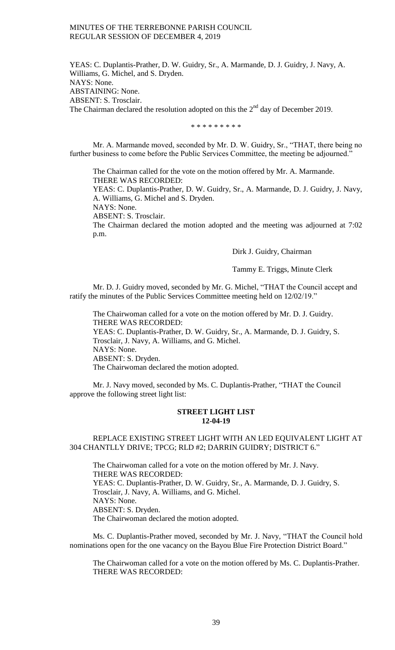YEAS: C. Duplantis-Prather, D. W. Guidry, Sr., A. Marmande, D. J. Guidry, J. Navy, A. Williams, G. Michel, and S. Dryden. NAYS: None. ABSTAINING: None. ABSENT: S. Trosclair. The Chairman declared the resolution adopted on this the  $2<sup>nd</sup>$  day of December 2019.

\* \* \* \* \* \* \* \* \*

Mr. A. Marmande moved, seconded by Mr. D. W. Guidry, Sr., "THAT, there being no further business to come before the Public Services Committee, the meeting be adjourned."

The Chairman called for the vote on the motion offered by Mr. A. Marmande. THERE WAS RECORDED:

YEAS: C. Duplantis-Prather, D. W. Guidry, Sr., A. Marmande, D. J. Guidry, J. Navy, A. Williams, G. Michel and S. Dryden.

NAYS: None.

ABSENT: S. Trosclair.

The Chairman declared the motion adopted and the meeting was adjourned at 7:02 p.m.

Dirk J. Guidry, Chairman

Tammy E. Triggs, Minute Clerk

Mr. D. J. Guidry moved, seconded by Mr. G. Michel, "THAT the Council accept and ratify the minutes of the Public Services Committee meeting held on 12/02/19."

The Chairwoman called for a vote on the motion offered by Mr. D. J. Guidry. THERE WAS RECORDED: YEAS: C. Duplantis-Prather, D. W. Guidry, Sr., A. Marmande, D. J. Guidry, S. Trosclair, J. Navy, A. Williams, and G. Michel. NAYS: None. ABSENT: S. Dryden. The Chairwoman declared the motion adopted.

Mr. J. Navy moved, seconded by Ms. C. Duplantis-Prather, "THAT the Council approve the following street light list:

## **STREET LIGHT LIST 12-04-19**

## REPLACE EXISTING STREET LIGHT WITH AN LED EQUIVALENT LIGHT AT 304 CHANTLLY DRIVE; TPCG; RLD #2; DARRIN GUIDRY; DISTRICT 6."

The Chairwoman called for a vote on the motion offered by Mr. J. Navy. THERE WAS RECORDED: YEAS: C. Duplantis-Prather, D. W. Guidry, Sr., A. Marmande, D. J. Guidry, S. Trosclair, J. Navy, A. Williams, and G. Michel. NAYS: None. ABSENT: S. Dryden. The Chairwoman declared the motion adopted.

Ms. C. Duplantis-Prather moved, seconded by Mr. J. Navy, "THAT the Council hold nominations open for the one vacancy on the Bayou Blue Fire Protection District Board."

The Chairwoman called for a vote on the motion offered by Ms. C. Duplantis-Prather. THERE WAS RECORDED: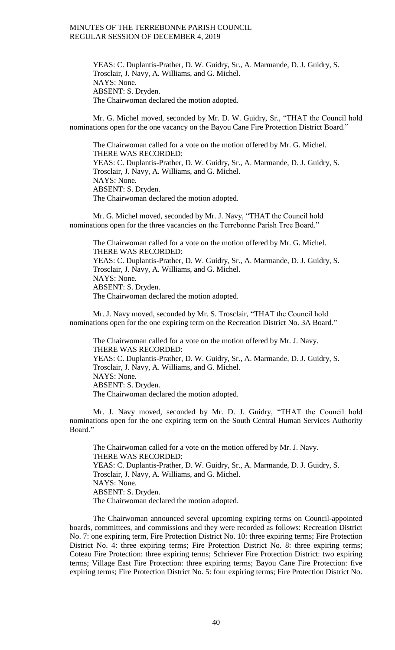YEAS: C. Duplantis-Prather, D. W. Guidry, Sr., A. Marmande, D. J. Guidry, S. Trosclair, J. Navy, A. Williams, and G. Michel. NAYS: None. ABSENT: S. Dryden. The Chairwoman declared the motion adopted.

Mr. G. Michel moved, seconded by Mr. D. W. Guidry, Sr., "THAT the Council hold nominations open for the one vacancy on the Bayou Cane Fire Protection District Board."

The Chairwoman called for a vote on the motion offered by Mr. G. Michel. THERE WAS RECORDED: YEAS: C. Duplantis-Prather, D. W. Guidry, Sr., A. Marmande, D. J. Guidry, S. Trosclair, J. Navy, A. Williams, and G. Michel. NAYS: None. ABSENT: S. Dryden. The Chairwoman declared the motion adopted.

Mr. G. Michel moved, seconded by Mr. J. Navy, "THAT the Council hold nominations open for the three vacancies on the Terrebonne Parish Tree Board."

The Chairwoman called for a vote on the motion offered by Mr. G. Michel. THERE WAS RECORDED: YEAS: C. Duplantis-Prather, D. W. Guidry, Sr., A. Marmande, D. J. Guidry, S. Trosclair, J. Navy, A. Williams, and G. Michel. NAYS: None. ABSENT: S. Dryden. The Chairwoman declared the motion adopted.

Mr. J. Navy moved, seconded by Mr. S. Trosclair, "THAT the Council hold nominations open for the one expiring term on the Recreation District No. 3A Board."

The Chairwoman called for a vote on the motion offered by Mr. J. Navy. THERE WAS RECORDED: YEAS: C. Duplantis-Prather, D. W. Guidry, Sr., A. Marmande, D. J. Guidry, S. Trosclair, J. Navy, A. Williams, and G. Michel. NAYS: None. ABSENT: S. Dryden. The Chairwoman declared the motion adopted.

Mr. J. Navy moved, seconded by Mr. D. J. Guidry, "THAT the Council hold nominations open for the one expiring term on the South Central Human Services Authority Board."

The Chairwoman called for a vote on the motion offered by Mr. J. Navy. THERE WAS RECORDED: YEAS: C. Duplantis-Prather, D. W. Guidry, Sr., A. Marmande, D. J. Guidry, S. Trosclair, J. Navy, A. Williams, and G. Michel. NAYS: None. ABSENT: S. Dryden. The Chairwoman declared the motion adopted.

The Chairwoman announced several upcoming expiring terms on Council-appointed boards, committees, and commissions and they were recorded as follows: Recreation District No. 7: one expiring term, Fire Protection District No. 10: three expiring terms; Fire Protection District No. 4: three expiring terms; Fire Protection District No. 8: three expiring terms; Coteau Fire Protection: three expiring terms; Schriever Fire Protection District: two expiring terms; Village East Fire Protection: three expiring terms; Bayou Cane Fire Protection: five expiring terms; Fire Protection District No. 5: four expiring terms; Fire Protection District No.